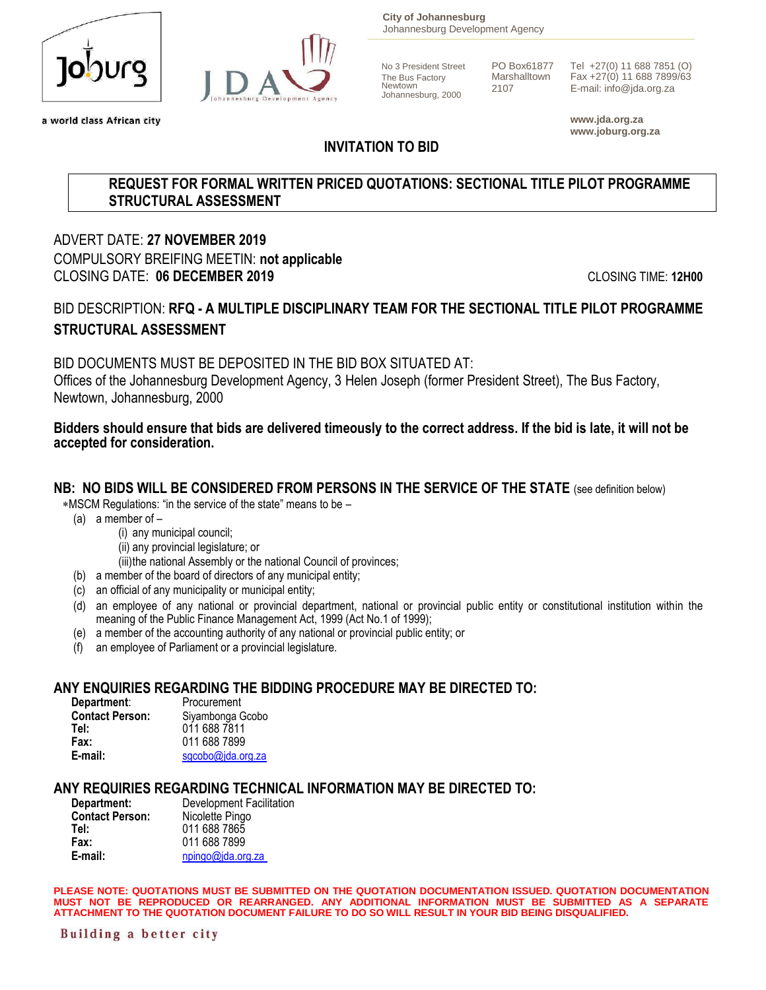

a world class African city



**City of Johannesburg** Johannesburg Development Agency

No 3 President Street PO Box61877 Tel +27(0) 11 688 7851 (O)<br>The Bus Factory Marshalltown Fax +27(0) 11 688 7899/63 The Bus Factory Marshalltown Fax +27(0) 11 688 7899/63<br>Newtown 2107 E mail: info@ide.org.zo Newtown <sup>2107</sup> E-mail: info@jda.org.za Johannesburg, 2000

> **www.jda.org.za www.joburg.org.za**

## **INVITATION TO BID**

### **REQUEST FOR FORMAL WRITTEN PRICED QUOTATIONS: SECTIONAL TITLE PILOT PROGRAMME STRUCTURAL ASSESSMENT**

ADVERT DATE: **27 NOVEMBER 2019** COMPULSORY BREIFING MEETIN: **not applicable** CLOSING DATE: **06 DECEMBER 2019** CLOSING TIME: **12H00**

## BID DESCRIPTION: **RFQ - A MULTIPLE DISCIPLINARY TEAM FOR THE SECTIONAL TITLE PILOT PROGRAMME STRUCTURAL ASSESSMENT**

BID DOCUMENTS MUST BE DEPOSITED IN THE BID BOX SITUATED AT: Offices of the Johannesburg Development Agency, 3 Helen Joseph (former President Street), The Bus Factory, Newtown, Johannesburg, 2000

### **Bidders should ensure that bids are delivered timeously to the correct address. If the bid is late, it will not be accepted for consideration.**

## **NB: NO BIDS WILL BE CONSIDERED FROM PERSONS IN THE SERVICE OF THE STATE** (see definition below)

MSCM Regulations: "in the service of the state" means to be –

- (a) a member of
	- (i) any municipal council;
		- (ii) any provincial legislature; or

(iii)the national Assembly or the national Council of provinces;

- (b) a member of the board of directors of any municipal entity;
- (c) an official of any municipality or municipal entity;
- (d) an employee of any national or provincial department, national or provincial public entity or constitutional institution within the meaning of the Public Finance Management Act, 1999 (Act No.1 of 1999);
- (e) a member of the accounting authority of any national or provincial public entity; or
- (f) an employee of Parliament or a provincial legislature.

## **ANY ENQUIRIES REGARDING THE BIDDING PROCEDURE MAY BE DIRECTED TO:**

| Department:            | Procurement       |
|------------------------|-------------------|
| <b>Contact Person:</b> | Siyambonga Gcobo  |
| Tel:                   | 011 688 7811      |
| Fax:                   | 011 688 7899      |
| E-mail:                | sgcobo@jda.org.za |

## **ANY REQUIRIES REGARDING TECHNICAL INFORMATION MAY BE DIRECTED TO:**

| <b>Development Facilitation</b> |  |  |  |  |  |  |
|---------------------------------|--|--|--|--|--|--|
| Nicolette Pingo                 |  |  |  |  |  |  |
| 011 688 7865                    |  |  |  |  |  |  |
| 011 688 7899                    |  |  |  |  |  |  |
| npingo@jda.org.za               |  |  |  |  |  |  |
|                                 |  |  |  |  |  |  |

**PLEASE NOTE: QUOTATIONS MUST BE SUBMITTED ON THE QUOTATION DOCUMENTATION ISSUED. QUOTATION DOCUMENTATION MUST NOT BE REPRODUCED OR REARRANGED. ANY ADDITIONAL INFORMATION MUST BE SUBMITTED AS A SEPARATE ATTACHMENT TO THE QUOTATION DOCUMENT FAILURE TO DO SO WILL RESULT IN YOUR BID BEING DISQUALIFIED.**

Building a better city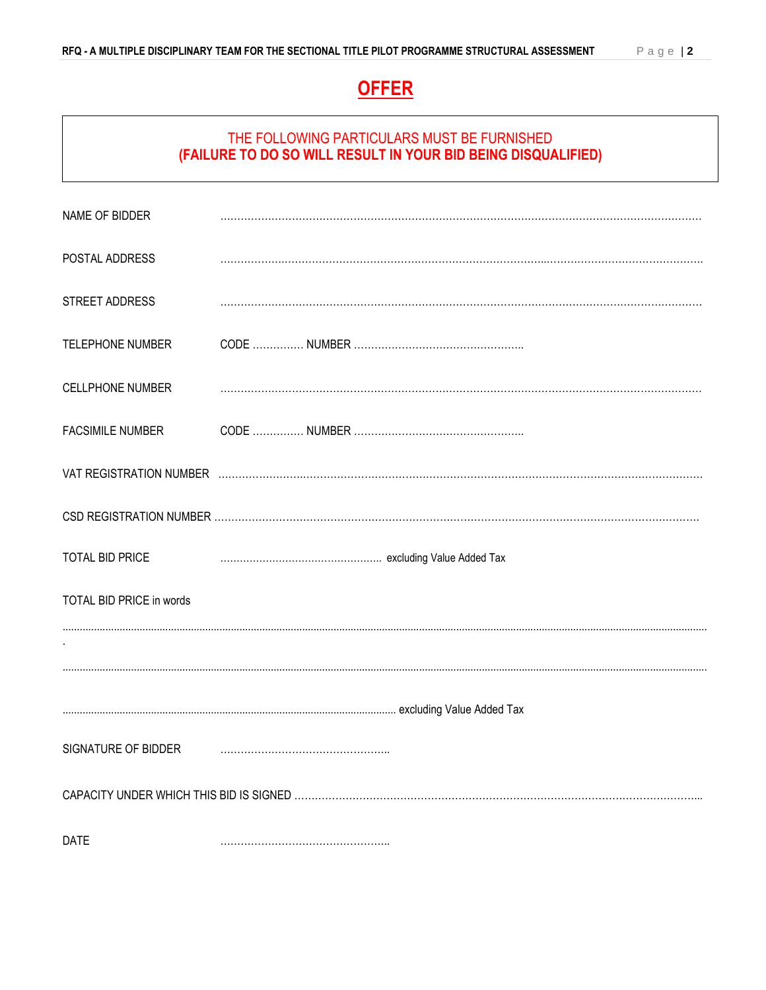# **OFFER**

## THE FOLLOWING PARTICULARS MUST BE FURNISHED **(FAILURE TO DO SO WILL RESULT IN YOUR BID BEING DISQUALIFIED)**

| NAME OF BIDDER           |  |  |
|--------------------------|--|--|
| POSTAL ADDRESS           |  |  |
| STREET ADDRESS           |  |  |
| TELEPHONE NUMBER         |  |  |
| <b>CELLPHONE NUMBER</b>  |  |  |
| <b>FACSIMILE NUMBER</b>  |  |  |
|                          |  |  |
|                          |  |  |
| TOTAL BID PRICE          |  |  |
| TOTAL BID PRICE in words |  |  |
|                          |  |  |
|                          |  |  |
|                          |  |  |
| SIGNATURE OF BIDDER      |  |  |
|                          |  |  |
| <b>DATE</b>              |  |  |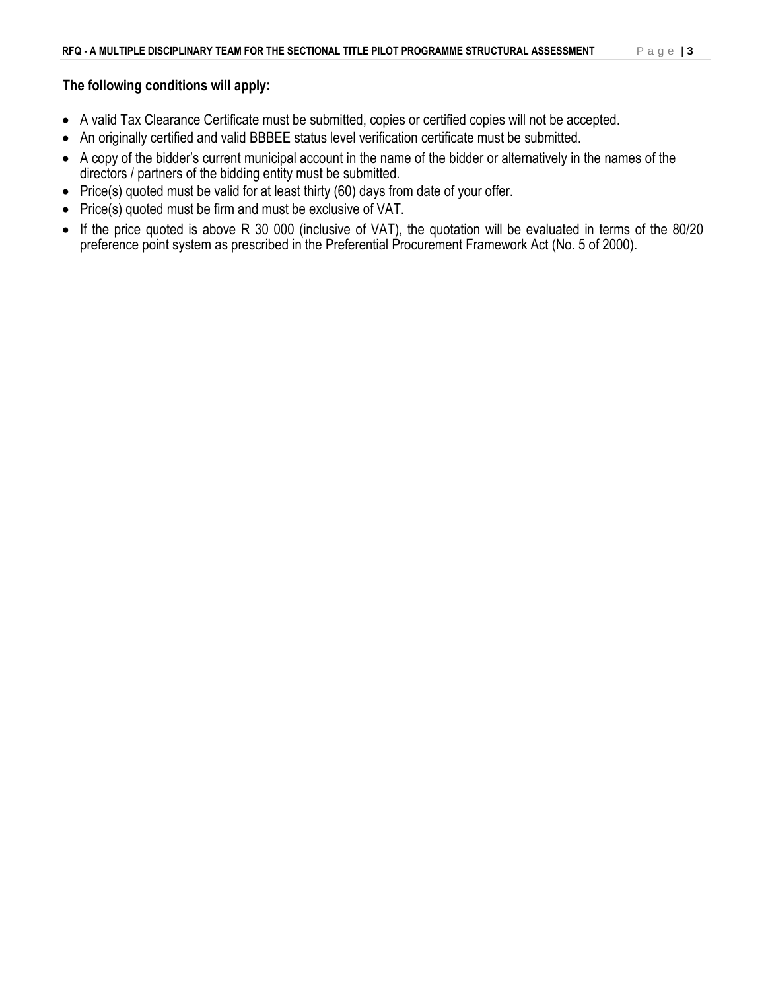### **The following conditions will apply:**

- A valid Tax Clearance Certificate must be submitted, copies or certified copies will not be accepted.
- An originally certified and valid BBBEE status level verification certificate must be submitted.
- A copy of the bidder's current municipal account in the name of the bidder or alternatively in the names of the directors / partners of the bidding entity must be submitted.
- Price(s) quoted must be valid for at least thirty (60) days from date of your offer.
- Price(s) quoted must be firm and must be exclusive of VAT.
- If the price quoted is above R 30 000 (inclusive of VAT), the quotation will be evaluated in terms of the 80/20 preference point system as prescribed in the Preferential Procurement Framework Act (No. 5 of 2000).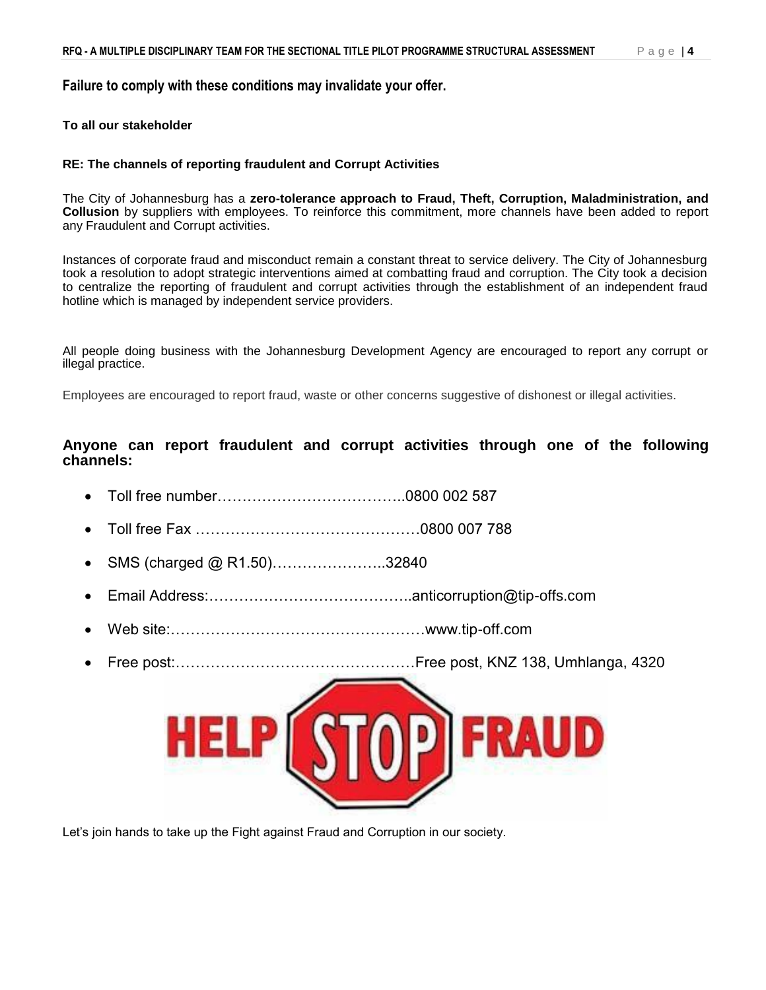#### **Failure to comply with these conditions may invalidate your offer.**

#### **To all our stakeholder**

#### **RE: The channels of reporting fraudulent and Corrupt Activities**

The City of Johannesburg has a **zero-tolerance approach to Fraud, Theft, Corruption, Maladministration, and Collusion** by suppliers with employees. To reinforce this commitment, more channels have been added to report any Fraudulent and Corrupt activities.

Instances of corporate fraud and misconduct remain a constant threat to service delivery. The City of Johannesburg took a resolution to adopt strategic interventions aimed at combatting fraud and corruption. The City took a decision to centralize the reporting of fraudulent and corrupt activities through the establishment of an independent fraud hotline which is managed by independent service providers.

All people doing business with the Johannesburg Development Agency are encouraged to report any corrupt or illegal practice.

Employees are encouraged to report fraud, waste or other concerns suggestive of dishonest or illegal activities.

**Anyone can report fraudulent and corrupt activities through one of the following channels:**

- Toll free number………………………………..0800 002 587
- Toll free Fax ………………………………………0800 007 788
- SMS (charged @ R1.50)………………………32840
- Email Address:…………………………………..anticorruption@tip-offs.com
- Web site:……………………………………………www.tip-off.com
- Free post:…………………………………………Free post, KNZ 138, Umhlanga, 4320



Let's join hands to take up the Fight against Fraud and Corruption in our society.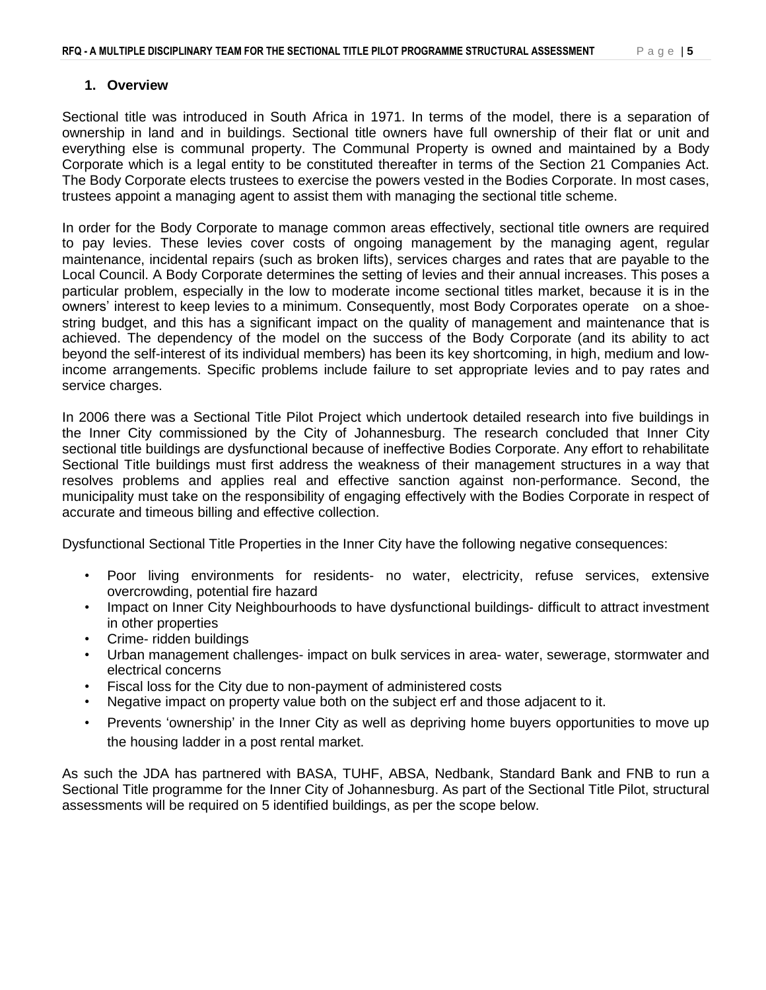#### **1. Overview**

Sectional title was introduced in South Africa in 1971. In terms of the model, there is a separation of ownership in land and in buildings. Sectional title owners have full ownership of their flat or unit and everything else is communal property. The Communal Property is owned and maintained by a Body Corporate which is a legal entity to be constituted thereafter in terms of the Section 21 Companies Act. The Body Corporate elects trustees to exercise the powers vested in the Bodies Corporate. In most cases, trustees appoint a managing agent to assist them with managing the sectional title scheme.

In order for the Body Corporate to manage common areas effectively, sectional title owners are required to pay levies. These levies cover costs of ongoing management by the managing agent, regular maintenance, incidental repairs (such as broken lifts), services charges and rates that are payable to the Local Council. A Body Corporate determines the setting of levies and their annual increases. This poses a particular problem, especially in the low to moderate income sectional titles market, because it is in the owners' interest to keep levies to a minimum. Consequently, most Body Corporates operate on a shoestring budget, and this has a significant impact on the quality of management and maintenance that is achieved. The dependency of the model on the success of the Body Corporate (and its ability to act beyond the self-interest of its individual members) has been its key shortcoming, in high, medium and lowincome arrangements. Specific problems include failure to set appropriate levies and to pay rates and service charges.

In 2006 there was a Sectional Title Pilot Project which undertook detailed research into five buildings in the Inner City commissioned by the City of Johannesburg. The research concluded that Inner City sectional title buildings are dysfunctional because of ineffective Bodies Corporate. Any effort to rehabilitate Sectional Title buildings must first address the weakness of their management structures in a way that resolves problems and applies real and effective sanction against non-performance. Second, the municipality must take on the responsibility of engaging effectively with the Bodies Corporate in respect of accurate and timeous billing and effective collection.

Dysfunctional Sectional Title Properties in the Inner City have the following negative consequences:

- Poor living environments for residents- no water, electricity, refuse services, extensive overcrowding, potential fire hazard
- Impact on Inner City Neighbourhoods to have dysfunctional buildings- difficult to attract investment in other properties
- Crime- ridden buildings
- Urban management challenges- impact on bulk services in area- water, sewerage, stormwater and electrical concerns
- Fiscal loss for the City due to non-payment of administered costs
- Negative impact on property value both on the subject erf and those adjacent to it.
- Prevents 'ownership' in the Inner City as well as depriving home buyers opportunities to move up the housing ladder in a post rental market.

As such the JDA has partnered with BASA, TUHF, ABSA, Nedbank, Standard Bank and FNB to run a Sectional Title programme for the Inner City of Johannesburg. As part of the Sectional Title Pilot, structural assessments will be required on 5 identified buildings, as per the scope below.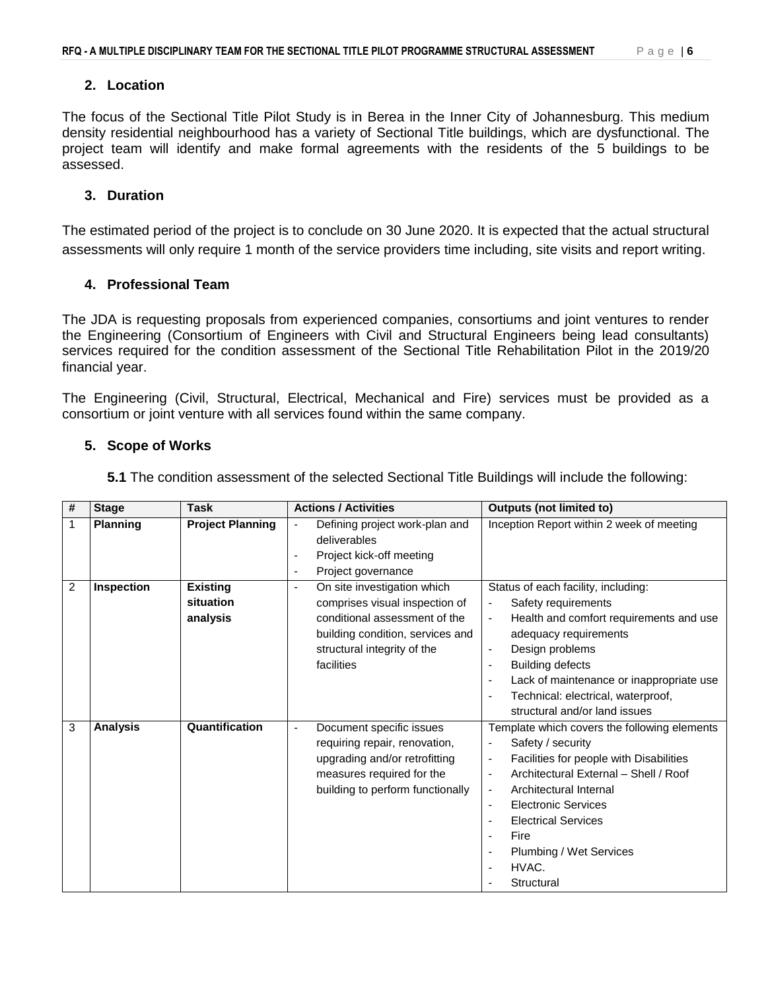#### **2. Location**

The focus of the Sectional Title Pilot Study is in Berea in the Inner City of Johannesburg. This medium density residential neighbourhood has a variety of Sectional Title buildings, which are dysfunctional. The project team will identify and make formal agreements with the residents of the 5 buildings to be assessed.

#### **3. Duration**

The estimated period of the project is to conclude on 30 June 2020. It is expected that the actual structural assessments will only require 1 month of the service providers time including, site visits and report writing.

#### **4. Professional Team**

The JDA is requesting proposals from experienced companies, consortiums and joint ventures to render the Engineering (Consortium of Engineers with Civil and Structural Engineers being lead consultants) services required for the condition assessment of the Sectional Title Rehabilitation Pilot in the 2019/20 financial year.

The Engineering (Civil, Structural, Electrical, Mechanical and Fire) services must be provided as a consortium or joint venture with all services found within the same company.

#### **5. Scope of Works**

| # | <b>Stage</b>      | <b>Task</b>                              | <b>Actions / Activities</b>                                                                                                                                                                       | <b>Outputs (not limited to)</b>                                                                                                                                                                                                                                                                                                                                                                                                                        |
|---|-------------------|------------------------------------------|---------------------------------------------------------------------------------------------------------------------------------------------------------------------------------------------------|--------------------------------------------------------------------------------------------------------------------------------------------------------------------------------------------------------------------------------------------------------------------------------------------------------------------------------------------------------------------------------------------------------------------------------------------------------|
| 1 | <b>Planning</b>   | <b>Project Planning</b>                  | Defining project work-plan and<br>$\blacksquare$<br>deliverables<br>Project kick-off meeting<br>$\overline{\phantom{a}}$<br>Project governance<br>$\overline{\phantom{a}}$                        | Inception Report within 2 week of meeting                                                                                                                                                                                                                                                                                                                                                                                                              |
| 2 | <b>Inspection</b> | <b>Existing</b><br>situation<br>analysis | On site investigation which<br>$\blacksquare$<br>comprises visual inspection of<br>conditional assessment of the<br>building condition, services and<br>structural integrity of the<br>facilities | Status of each facility, including:<br>Safety requirements<br>$\overline{\phantom{a}}$<br>Health and comfort requirements and use<br>$\overline{\phantom{a}}$<br>adequacy requirements<br>Design problems<br>$\overline{\phantom{a}}$<br><b>Building defects</b><br>$\overline{\phantom{a}}$<br>Lack of maintenance or inappropriate use<br>$\overline{\phantom{a}}$<br>Technical: electrical, waterproof,<br>structural and/or land issues            |
| 3 | <b>Analysis</b>   | Quantification                           | Document specific issues<br>÷,<br>requiring repair, renovation,<br>upgrading and/or retrofitting<br>measures required for the<br>building to perform functionally                                 | Template which covers the following elements<br>Safety / security<br>-<br>Facilities for people with Disabilities<br>$\overline{\phantom{a}}$<br>Architectural External - Shell / Roof<br>$\overline{\phantom{a}}$<br>Architectural Internal<br>$\overline{\phantom{a}}$<br><b>Electronic Services</b><br>$\overline{\phantom{a}}$<br><b>Electrical Services</b><br>Fire<br>$\overline{\phantom{a}}$<br>Plumbing / Wet Services<br>HVAC.<br>Structural |

**5.1** The condition assessment of the selected Sectional Title Buildings will include the following: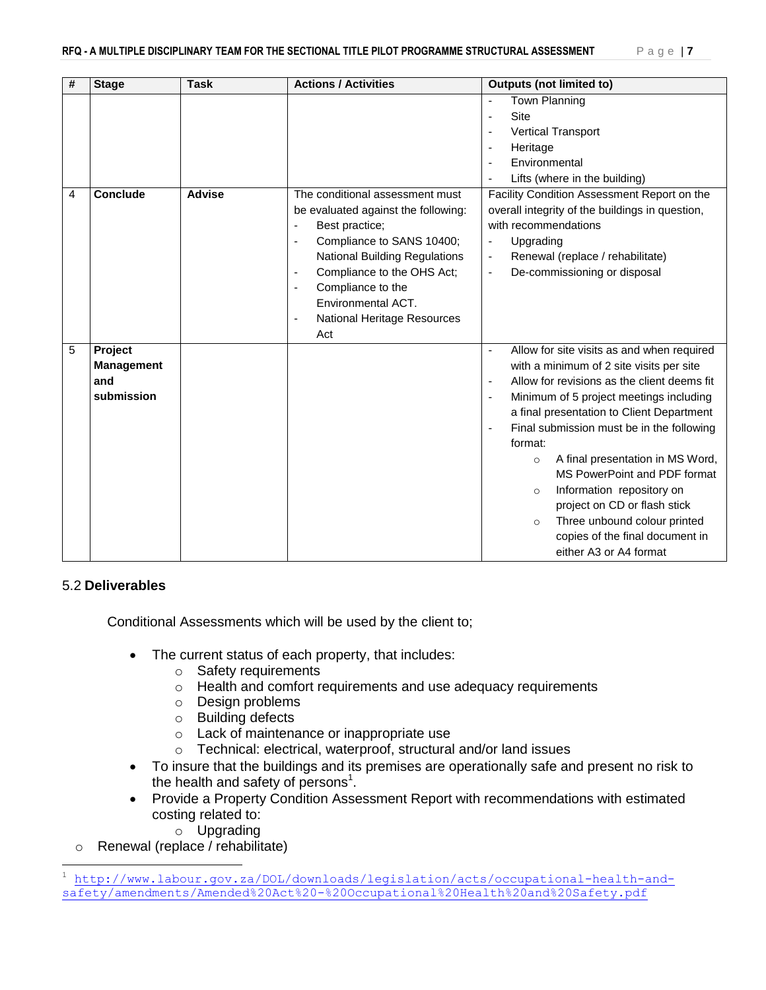| # | <b>Stage</b>      | <b>Task</b>   | <b>Actions / Activities</b>                            | <b>Outputs (not limited to)</b>                                         |
|---|-------------------|---------------|--------------------------------------------------------|-------------------------------------------------------------------------|
|   |                   |               |                                                        | <b>Town Planning</b><br>÷,                                              |
|   |                   |               |                                                        | <b>Site</b><br>÷                                                        |
|   |                   |               |                                                        | <b>Vertical Transport</b><br>÷                                          |
|   |                   |               |                                                        | Heritage<br>٠                                                           |
|   |                   |               |                                                        | Environmental<br>٠                                                      |
|   |                   |               |                                                        | Lifts (where in the building)<br>÷                                      |
| 4 | <b>Conclude</b>   | <b>Advise</b> | The conditional assessment must                        | Facility Condition Assessment Report on the                             |
|   |                   |               | be evaluated against the following:                    | overall integrity of the buildings in question,                         |
|   |                   |               | Best practice;<br>-                                    | with recommendations                                                    |
|   |                   |               | Compliance to SANS 10400;<br>$\overline{\phantom{a}}$  | Upgrading<br>$\qquad \qquad \blacksquare$                               |
|   |                   |               | <b>National Building Regulations</b>                   | Renewal (replace / rehabilitate)<br>$\overline{\phantom{a}}$            |
|   |                   |               | Compliance to the OHS Act;<br>$\overline{\phantom{a}}$ | De-commissioning or disposal<br>$\overline{\phantom{a}}$                |
|   |                   |               | Compliance to the<br>$\overline{\phantom{a}}$          |                                                                         |
|   |                   |               | Environmental ACT.                                     |                                                                         |
|   |                   |               | National Heritage Resources<br>$\blacksquare$          |                                                                         |
|   |                   |               | Act                                                    |                                                                         |
| 5 | <b>Project</b>    |               |                                                        | Allow for site visits as and when required                              |
|   | <b>Management</b> |               |                                                        | with a minimum of 2 site visits per site                                |
|   | and               |               |                                                        | Allow for revisions as the client deems fit<br>$\overline{\phantom{a}}$ |
|   | submission        |               |                                                        | Minimum of 5 project meetings including<br>$\overline{\phantom{a}}$     |
|   |                   |               |                                                        | a final presentation to Client Department                               |
|   |                   |               |                                                        | Final submission must be in the following<br>$\overline{\phantom{a}}$   |
|   |                   |               |                                                        | format:                                                                 |
|   |                   |               |                                                        | A final presentation in MS Word,<br>$\circ$                             |
|   |                   |               |                                                        | MS PowerPoint and PDF format                                            |
|   |                   |               |                                                        | Information repository on<br>$\circ$                                    |
|   |                   |               |                                                        | project on CD or flash stick                                            |
|   |                   |               |                                                        | Three unbound colour printed<br>$\circ$                                 |
|   |                   |               |                                                        | copies of the final document in                                         |
|   |                   |               |                                                        | either A3 or A4 format                                                  |

#### 5.2 **Deliverables**

l

Conditional Assessments which will be used by the client to;

- The current status of each property, that includes:
	- o Safety requirements
	- o Health and comfort requirements and use adequacy requirements
	- o Design problems
	- o Building defects
	- o Lack of maintenance or inappropriate use
	- o Technical: electrical, waterproof, structural and/or land issues
- To insure that the buildings and its premises are operationally safe and present no risk to the health and safety of persons<sup>1</sup>.
- Provide a Property Condition Assessment Report with recommendations with estimated costing related to:
	- o Upgrading
- o Renewal (replace / rehabilitate)

<sup>1</sup> [http://www.labour.gov.za/DOL/downloads/legislation/acts/occupational-health-and](http://www.labour.gov.za/DOL/downloads/legislation/acts/occupational-health-and-safety/amendments/Amended%20Act%20-%20Occupational%20Health%20and%20Safety.pdf)[safety/amendments/Amended%20Act%20-%20Occupational%20Health%20and%20Safety.pdf](http://www.labour.gov.za/DOL/downloads/legislation/acts/occupational-health-and-safety/amendments/Amended%20Act%20-%20Occupational%20Health%20and%20Safety.pdf)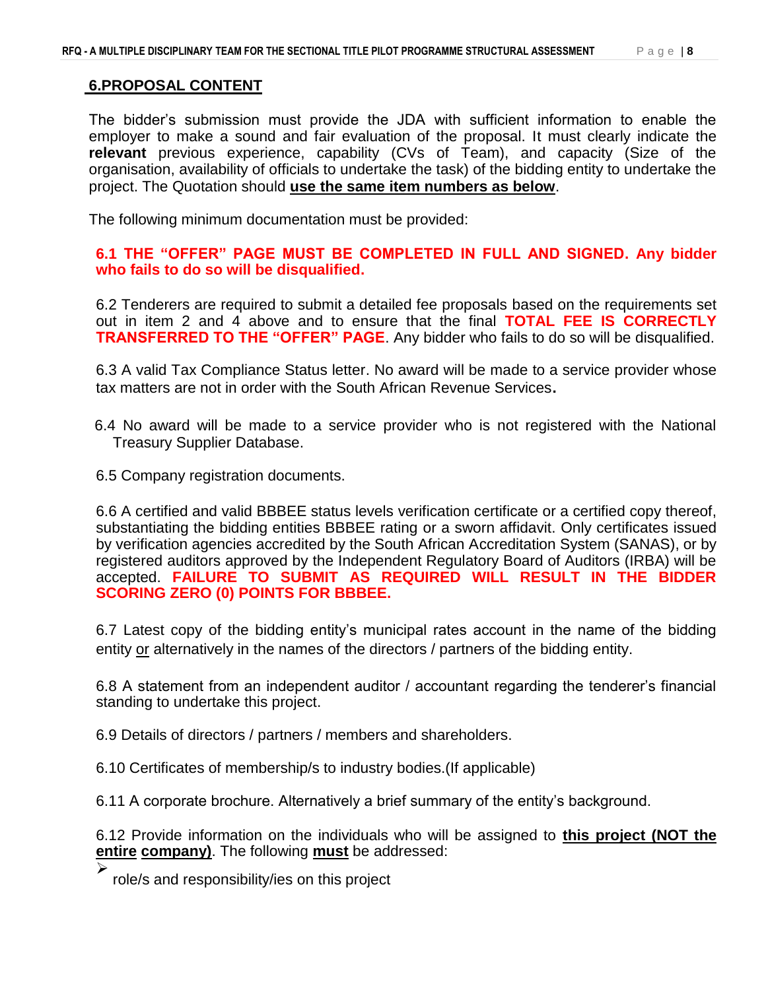### **6.PROPOSAL CONTENT**

The bidder's submission must provide the JDA with sufficient information to enable the employer to make a sound and fair evaluation of the proposal. It must clearly indicate the **relevant** previous experience, capability (CVs of Team), and capacity (Size of the organisation, availability of officials to undertake the task) of the bidding entity to undertake the project. The Quotation should **use the same item numbers as below**.

The following minimum documentation must be provided:

**6.1 THE "OFFER" PAGE MUST BE COMPLETED IN FULL AND SIGNED. Any bidder who fails to do so will be disqualified.** 

6.2 Tenderers are required to submit a detailed fee proposals based on the requirements set out in item 2 and 4 above and to ensure that the final **TOTAL FEE IS CORRECTLY TRANSFERRED TO THE "OFFER" PAGE**. Any bidder who fails to do so will be disqualified.

6.3 A valid Tax Compliance Status letter. No award will be made to a service provider whose tax matters are not in order with the South African Revenue Services**.**

- 6.4 No award will be made to a service provider who is not registered with the National Treasury Supplier Database.
- 6.5 Company registration documents.

6.6 A certified and valid BBBEE status levels verification certificate or a certified copy thereof, substantiating the bidding entities BBBEE rating or a sworn affidavit. Only certificates issued by verification agencies accredited by the South African Accreditation System (SANAS), or by registered auditors approved by the Independent Regulatory Board of Auditors (IRBA) will be accepted. **FAILURE TO SUBMIT AS REQUIRED WILL RESULT IN THE BIDDER SCORING ZERO (0) POINTS FOR BBBEE.**

6.7 Latest copy of the bidding entity's municipal rates account in the name of the bidding entity or alternatively in the names of the directors / partners of the bidding entity.

6.8 A statement from an independent auditor / accountant regarding the tenderer's financial standing to undertake this project.

6.9 Details of directors / partners / members and shareholders.

6.10 Certificates of membership/s to industry bodies.(If applicable)

6.11 A corporate brochure. Alternatively a brief summary of the entity's background.

6.12 Provide information on the individuals who will be assigned to **this project (NOT the entire company)**. The following **must** be addressed:

 $\blacktriangleright$ role/s and responsibility/ies on this project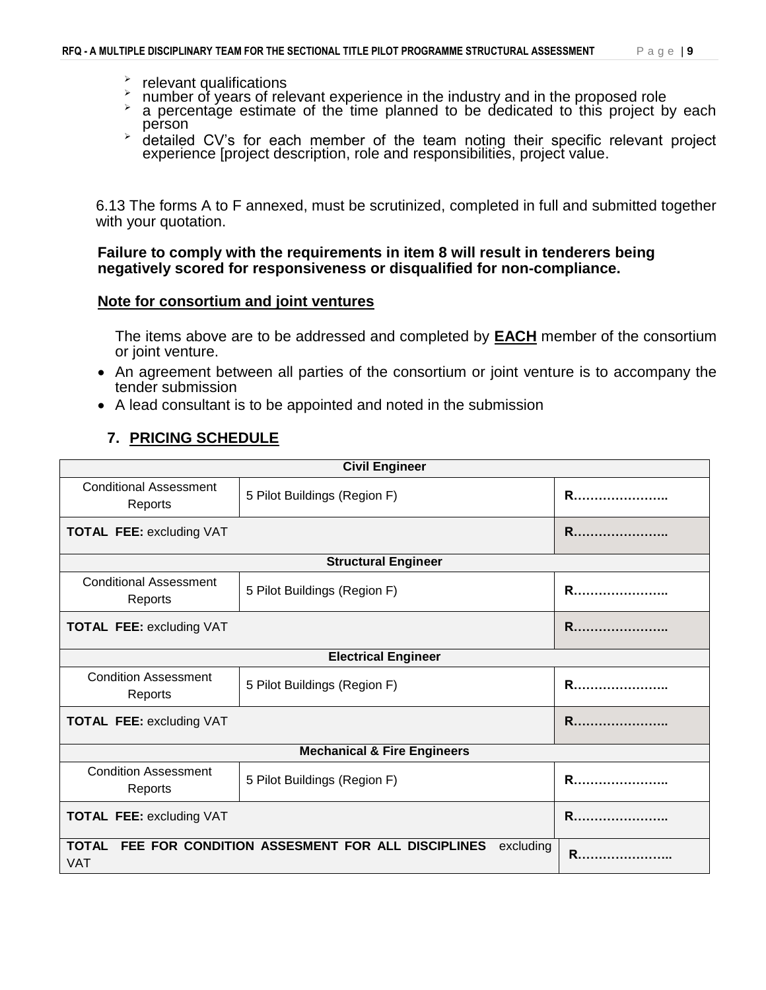- $\epsilon$  relevant qualifications
- umber of years of relevant experience in the industry and in the proposed role<br> $\geq$  a percentage estimate of the time planned to be dedicated to this project by
- a percentage estimate of the time planned to be dedicated to this project by each person
- $\rightarrow$  detailed CV's for each member of the team noting their specific relevant project experience [project description, role and responsibilities, project value.

6.13 The forms A to F annexed, must be scrutinized, completed in full and submitted together with your quotation.

**Failure to comply with the requirements in item 8 will result in tenderers being negatively scored for responsiveness or disqualified for non-compliance.**

#### **Note for consortium and joint ventures**

The items above are to be addressed and completed by **EACH** member of the consortium or joint venture.

- An agreement between all parties of the consortium or joint venture is to accompany the tender submission
- A lead consultant is to be appointed and noted in the submission

## **7. PRICING SCHEDULE**

| <b>Civil Engineer</b>                    |                                                                    |                |  |  |  |  |
|------------------------------------------|--------------------------------------------------------------------|----------------|--|--|--|--|
| <b>Conditional Assessment</b><br>Reports | <b>R</b>                                                           |                |  |  |  |  |
| <b>TOTAL FEE: excluding VAT</b>          | <b>R</b>                                                           |                |  |  |  |  |
|                                          | <b>Structural Engineer</b>                                         |                |  |  |  |  |
| <b>Conditional Assessment</b><br>Reports | <b>R</b>                                                           |                |  |  |  |  |
| <b>TOTAL FEE: excluding VAT</b>          | R                                                                  |                |  |  |  |  |
|                                          | <b>Electrical Engineer</b>                                         |                |  |  |  |  |
| <b>Condition Assessment</b><br>Reports   | <b>R</b>                                                           |                |  |  |  |  |
| <b>TOTAL FEE: excluding VAT</b>          |                                                                    |                |  |  |  |  |
|                                          | <b>Mechanical &amp; Fire Engineers</b>                             |                |  |  |  |  |
| <b>Condition Assessment</b><br>Reports   | <b>R</b>                                                           |                |  |  |  |  |
| <b>TOTAL FEE: excluding VAT</b>          | R                                                                  |                |  |  |  |  |
| <b>VAT</b>                               | TOTAL FEE FOR CONDITION ASSESMENT FOR ALL DISCIPLINES<br>excluding | $\mathsf{R}$ . |  |  |  |  |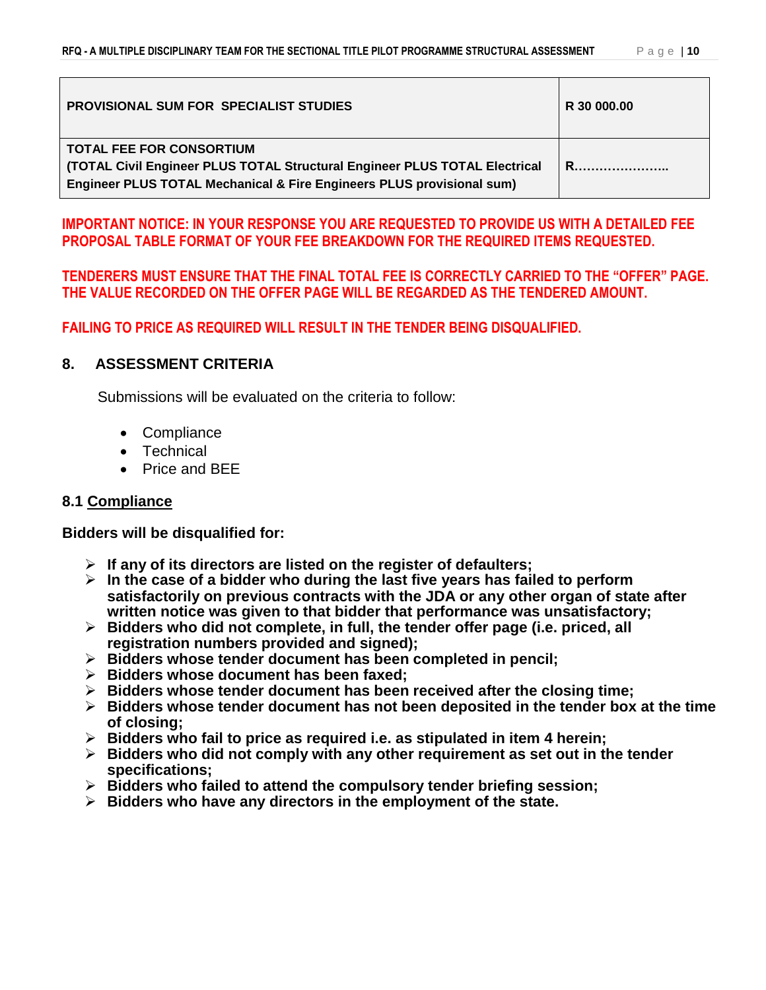| <b>PROVISIONAL SUM FOR SPECIALIST STUDIES</b>                                                                                                                                          | R 30 000.00 |
|----------------------------------------------------------------------------------------------------------------------------------------------------------------------------------------|-------------|
| <b>TOTAL FEE FOR CONSORTIUM</b><br>(TOTAL Civil Engineer PLUS TOTAL Structural Engineer PLUS TOTAL Electrical<br>Engineer PLUS TOTAL Mechanical & Fire Engineers PLUS provisional sum) |             |

### **IMPORTANT NOTICE: IN YOUR RESPONSE YOU ARE REQUESTED TO PROVIDE US WITH A DETAILED FEE PROPOSAL TABLE FORMAT OF YOUR FEE BREAKDOWN FOR THE REQUIRED ITEMS REQUESTED.**

### **TENDERERS MUST ENSURE THAT THE FINAL TOTAL FEE IS CORRECTLY CARRIED TO THE "OFFER" PAGE. THE VALUE RECORDED ON THE OFFER PAGE WILL BE REGARDED AS THE TENDERED AMOUNT.**

**FAILING TO PRICE AS REQUIRED WILL RESULT IN THE TENDER BEING DISQUALIFIED.**

### **8. ASSESSMENT CRITERIA**

Submissions will be evaluated on the criteria to follow:

- Compliance
- Technical
- Price and BEE

## **8.1 Compliance**

**Bidders will be disqualified for:**

- **If any of its directors are listed on the register of defaulters;**
- **In the case of a bidder who during the last five years has failed to perform satisfactorily on previous contracts with the JDA or any other organ of state after written notice was given to that bidder that performance was unsatisfactory;**
- **Bidders who did not complete, in full, the tender offer page (i.e. priced, all registration numbers provided and signed);**
- **Bidders whose tender document has been completed in pencil;**
- **Bidders whose document has been faxed;**
- **Bidders whose tender document has been received after the closing time;**
- **Bidders whose tender document has not been deposited in the tender box at the time of closing;**
- **Bidders who fail to price as required i.e. as stipulated in item 4 herein;**
- **Bidders who did not comply with any other requirement as set out in the tender specifications;**
- **Bidders who failed to attend the compulsory tender briefing session;**
- **Bidders who have any directors in the employment of the state.**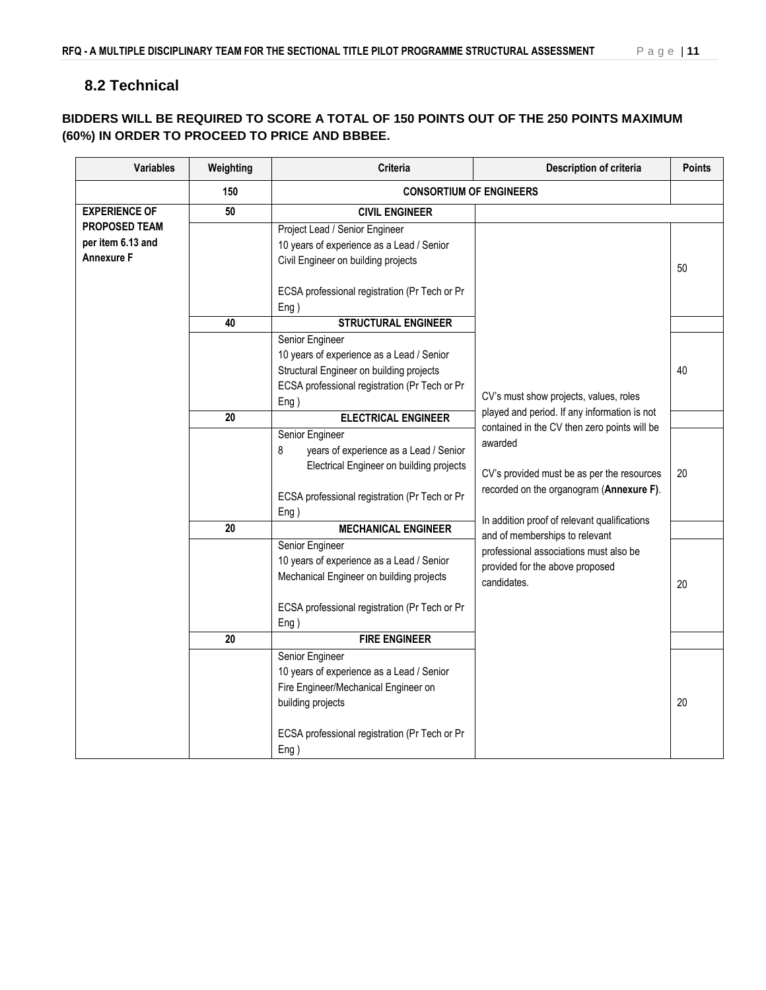## **8.2 Technical**

### **BIDDERS WILL BE REQUIRED TO SCORE A TOTAL OF 150 POINTS OUT OF THE 250 POINTS MAXIMUM (60%) IN ORDER TO PROCEED TO PRICE AND BBBEE.**

| <b>Variables</b>                                        | Weighting       | Criteria                                                                                                                                                                           | Description of criteria                                                                                                    | <b>Points</b> |  |  |  |
|---------------------------------------------------------|-----------------|------------------------------------------------------------------------------------------------------------------------------------------------------------------------------------|----------------------------------------------------------------------------------------------------------------------------|---------------|--|--|--|
|                                                         | 150             | <b>CONSORTIUM OF ENGINEERS</b>                                                                                                                                                     |                                                                                                                            |               |  |  |  |
| <b>EXPERIENCE OF</b>                                    | 50              | <b>CIVIL ENGINEER</b>                                                                                                                                                              |                                                                                                                            |               |  |  |  |
| <b>PROPOSED TEAM</b><br>per item 6.13 and<br>Annexure F |                 | Project Lead / Senior Engineer<br>10 years of experience as a Lead / Senior<br>Civil Engineer on building projects<br>ECSA professional registration (Pr Tech or Pr                |                                                                                                                            | 50            |  |  |  |
|                                                         | 40              | Eng)<br><b>STRUCTURAL ENGINEER</b>                                                                                                                                                 |                                                                                                                            |               |  |  |  |
|                                                         |                 | Senior Engineer<br>10 years of experience as a Lead / Senior<br>Structural Engineer on building projects<br>ECSA professional registration (Pr Tech or Pr<br>Eng)                  | CV's must show projects, values, roles                                                                                     | 40            |  |  |  |
|                                                         | 20              | <b>ELECTRICAL ENGINEER</b>                                                                                                                                                         | played and period. If any information is not<br>contained in the CV then zero points will be                               |               |  |  |  |
|                                                         |                 | Senior Engineer<br>8<br>years of experience as a Lead / Senior<br>Electrical Engineer on building projects<br>ECSA professional registration (Pr Tech or Pr                        | awarded<br>CV's provided must be as per the resources<br>recorded on the organogram (Annexure F).                          | 20            |  |  |  |
|                                                         | $\overline{20}$ | Eng)<br><b>MECHANICAL ENGINEER</b>                                                                                                                                                 | In addition proof of relevant qualifications                                                                               |               |  |  |  |
|                                                         |                 | Senior Engineer<br>10 years of experience as a Lead / Senior<br>Mechanical Engineer on building projects<br>ECSA professional registration (Pr Tech or Pr<br>Eng)                  | and of memberships to relevant<br>professional associations must also be<br>provided for the above proposed<br>candidates. | 20            |  |  |  |
|                                                         | $\overline{20}$ | <b>FIRE ENGINEER</b>                                                                                                                                                               |                                                                                                                            |               |  |  |  |
|                                                         |                 | Senior Engineer<br>10 years of experience as a Lead / Senior<br>Fire Engineer/Mechanical Engineer on<br>building projects<br>ECSA professional registration (Pr Tech or Pr<br>Eng) |                                                                                                                            | 20            |  |  |  |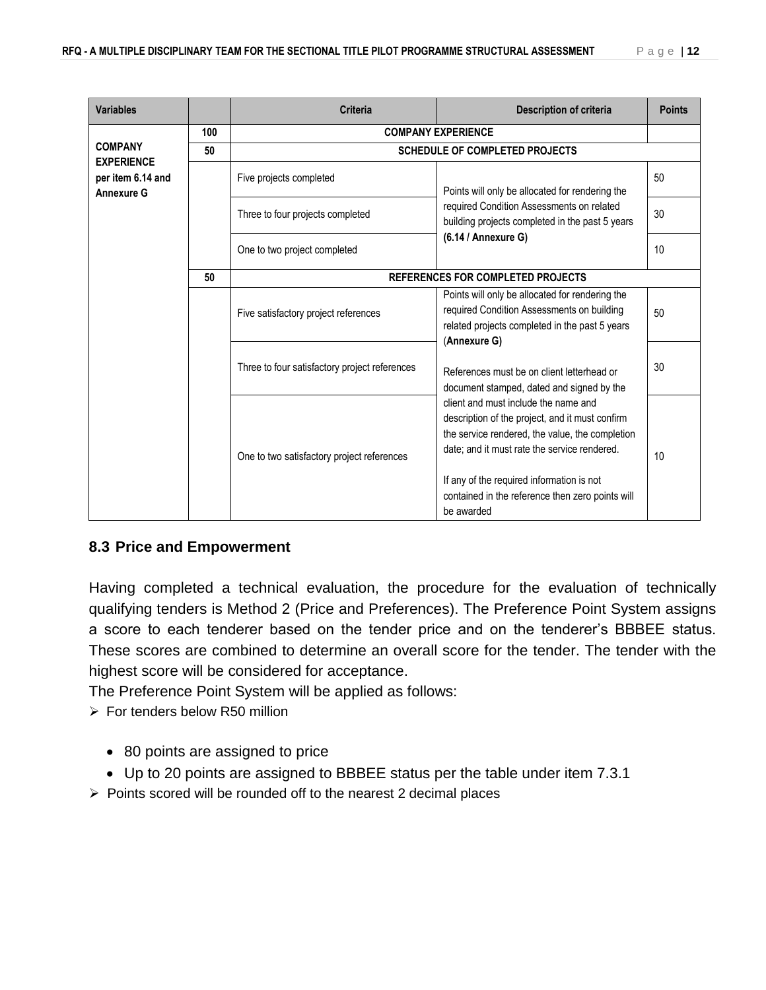| <b>Variables</b>                                            |                         | <b>Criteria</b>                                 | <b>Description of criteria</b>                                                                                                                                                                                                                                                                            | <b>Points</b> |  |  |  |  |  |  |  |  |  |  |  |                                               |                                                                                                         |    |
|-------------------------------------------------------------|-------------------------|-------------------------------------------------|-----------------------------------------------------------------------------------------------------------------------------------------------------------------------------------------------------------------------------------------------------------------------------------------------------------|---------------|--|--|--|--|--|--|--|--|--|--|--|-----------------------------------------------|---------------------------------------------------------------------------------------------------------|----|
|                                                             | 100                     |                                                 | <b>COMPANY EXPERIENCE</b>                                                                                                                                                                                                                                                                                 |               |  |  |  |  |  |  |  |  |  |  |  |                                               |                                                                                                         |    |
| <b>COMPANY</b>                                              | 50                      |                                                 | <b>SCHEDULE OF COMPLETED PROJECTS</b>                                                                                                                                                                                                                                                                     |               |  |  |  |  |  |  |  |  |  |  |  |                                               |                                                                                                         |    |
| <b>EXPERIENCE</b><br>per item 6.14 and<br><b>Annexure G</b> | Five projects completed | Points will only be allocated for rendering the | 50                                                                                                                                                                                                                                                                                                        |               |  |  |  |  |  |  |  |  |  |  |  |                                               |                                                                                                         |    |
|                                                             |                         | Three to four projects completed                | required Condition Assessments on related<br>building projects completed in the past 5 years                                                                                                                                                                                                              | 30            |  |  |  |  |  |  |  |  |  |  |  |                                               |                                                                                                         |    |
|                                                             |                         | One to two project completed                    | $(6.14 / \text{Annexure G})$                                                                                                                                                                                                                                                                              | 10            |  |  |  |  |  |  |  |  |  |  |  |                                               |                                                                                                         |    |
|                                                             | 50                      | REFERENCES FOR COMPLETED PROJECTS               |                                                                                                                                                                                                                                                                                                           |               |  |  |  |  |  |  |  |  |  |  |  |                                               |                                                                                                         |    |
|                                                             |                         | Five satisfactory project references            | Points will only be allocated for rendering the<br>required Condition Assessments on building<br>related projects completed in the past 5 years                                                                                                                                                           | 50            |  |  |  |  |  |  |  |  |  |  |  |                                               |                                                                                                         |    |
|                                                             |                         |                                                 |                                                                                                                                                                                                                                                                                                           |               |  |  |  |  |  |  |  |  |  |  |  | Three to four satisfactory project references | (Annexure G)<br>References must be on client letterhead or<br>document stamped, dated and signed by the | 30 |
|                                                             |                         | One to two satisfactory project references      | client and must include the name and<br>description of the project, and it must confirm<br>the service rendered, the value, the completion<br>date; and it must rate the service rendered.<br>If any of the required information is not<br>contained in the reference then zero points will<br>be awarded | 10            |  |  |  |  |  |  |  |  |  |  |  |                                               |                                                                                                         |    |

## **8.3 Price and Empowerment**

Having completed a technical evaluation, the procedure for the evaluation of technically qualifying tenders is Method 2 (Price and Preferences). The Preference Point System assigns a score to each tenderer based on the tender price and on the tenderer's BBBEE status. These scores are combined to determine an overall score for the tender. The tender with the highest score will be considered for acceptance.

The Preference Point System will be applied as follows:

- $\triangleright$  For tenders below R50 million
	- 80 points are assigned to price
	- Up to 20 points are assigned to BBBEE status per the table under item 7.3.1
- $\triangleright$  Points scored will be rounded off to the nearest 2 decimal places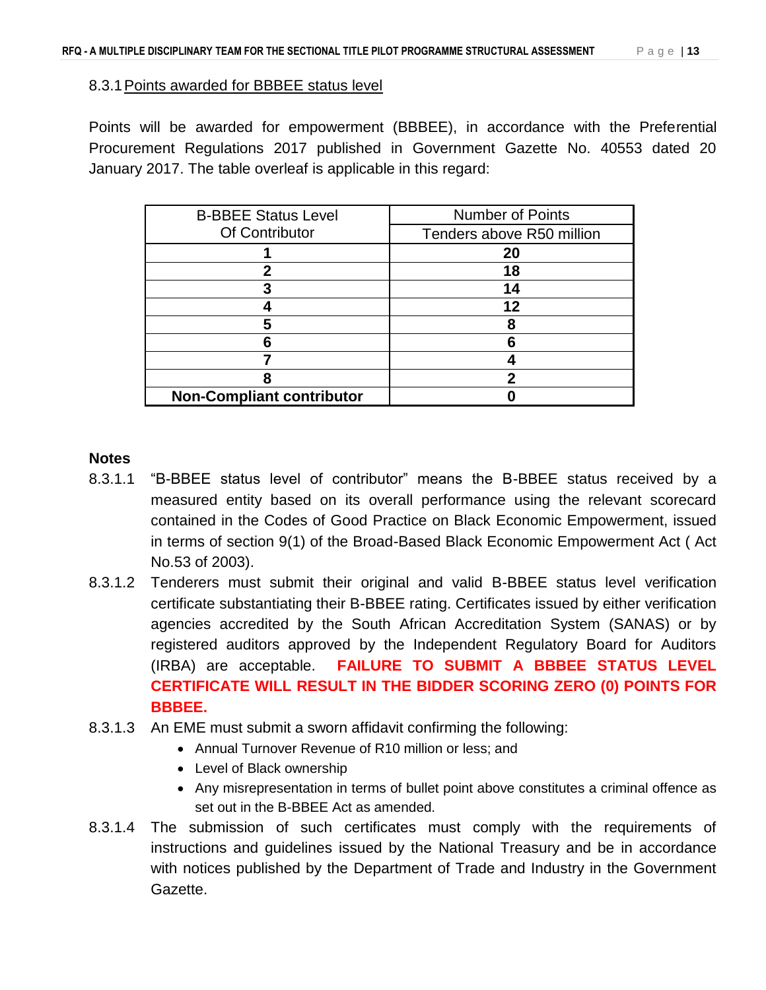#### 8.3.1Points awarded for BBBEE status level

Points will be awarded for empowerment (BBBEE), in accordance with the Preferential Procurement Regulations 2017 published in Government Gazette No. 40553 dated 20 January 2017. The table overleaf is applicable in this regard:

| <b>B-BBEE Status Level</b>       | Number of Points          |
|----------------------------------|---------------------------|
| Of Contributor                   | Tenders above R50 million |
|                                  | 20                        |
|                                  | 18                        |
|                                  | 14                        |
|                                  | 12                        |
|                                  | 8                         |
|                                  | 6                         |
|                                  |                           |
|                                  |                           |
| <b>Non-Compliant contributor</b> |                           |

### **Notes**

- 8.3.1.1 "B-BBEE status level of contributor" means the B-BBEE status received by a measured entity based on its overall performance using the relevant scorecard contained in the Codes of Good Practice on Black Economic Empowerment, issued in terms of section 9(1) of the Broad-Based Black Economic Empowerment Act ( Act No.53 of 2003).
- 8.3.1.2 Tenderers must submit their original and valid B-BBEE status level verification certificate substantiating their B-BBEE rating. Certificates issued by either verification agencies accredited by the South African Accreditation System (SANAS) or by registered auditors approved by the Independent Regulatory Board for Auditors (IRBA) are acceptable. **FAILURE TO SUBMIT A BBBEE STATUS LEVEL CERTIFICATE WILL RESULT IN THE BIDDER SCORING ZERO (0) POINTS FOR BBBEE.**
- 8.3.1.3 An EME must submit a sworn affidavit confirming the following:
	- Annual Turnover Revenue of R10 million or less; and
	- Level of Black ownership
	- Any misrepresentation in terms of bullet point above constitutes a criminal offence as set out in the B-BBEE Act as amended.
- 8.3.1.4 The submission of such certificates must comply with the requirements of instructions and guidelines issued by the National Treasury and be in accordance with notices published by the Department of Trade and Industry in the Government Gazette.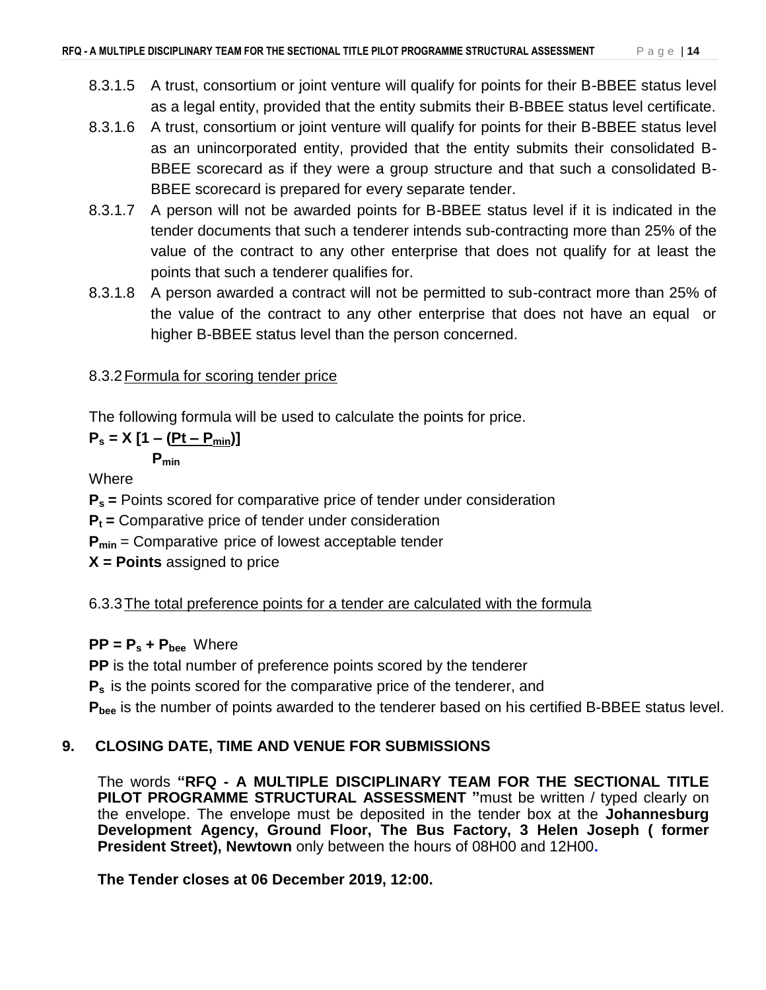- 8.3.1.5 A trust, consortium or joint venture will qualify for points for their B-BBEE status level as a legal entity, provided that the entity submits their B-BBEE status level certificate.
- 8.3.1.6 A trust, consortium or joint venture will qualify for points for their B-BBEE status level as an unincorporated entity, provided that the entity submits their consolidated B-BBEE scorecard as if they were a group structure and that such a consolidated B-BBEE scorecard is prepared for every separate tender.
- 8.3.1.7 A person will not be awarded points for B-BBEE status level if it is indicated in the tender documents that such a tenderer intends sub-contracting more than 25% of the value of the contract to any other enterprise that does not qualify for at least the points that such a tenderer qualifies for.
- 8.3.1.8 A person awarded a contract will not be permitted to sub-contract more than 25% of the value of the contract to any other enterprise that does not have an equal or higher B-BBEE status level than the person concerned.

## 8.3.2Formula for scoring tender price

The following formula will be used to calculate the points for price.

$$
P_s = X [1 - (Pt - P_{min})]
$$

**Pmin**

**Where** 

**P<sup>s</sup> =** Points scored for comparative price of tender under consideration

**P<sup>t</sup> =** Comparative price of tender under consideration

**Pmin** = Comparative price of lowest acceptable tender

**X = Points** assigned to price

6.3.3The total preference points for a tender are calculated with the formula

## $PP = P_s + P_{bee}$  Where

**PP** is the total number of preference points scored by the tenderer

**P<sup>s</sup>** is the points scored for the comparative price of the tenderer, and

**Pbee** is the number of points awarded to the tenderer based on his certified B-BBEE status level.

## **9. CLOSING DATE, TIME AND VENUE FOR SUBMISSIONS**

The words **"RFQ - A MULTIPLE DISCIPLINARY TEAM FOR THE SECTIONAL TITLE PILOT PROGRAMME STRUCTURAL ASSESSMENT "**must be written / typed clearly on the envelope. The envelope must be deposited in the tender box at the **Johannesburg Development Agency, Ground Floor, The Bus Factory, 3 Helen Joseph ( former President Street), Newtown** only between the hours of 08H00 and 12H00**.**

**The Tender closes at 06 December 2019, 12:00.**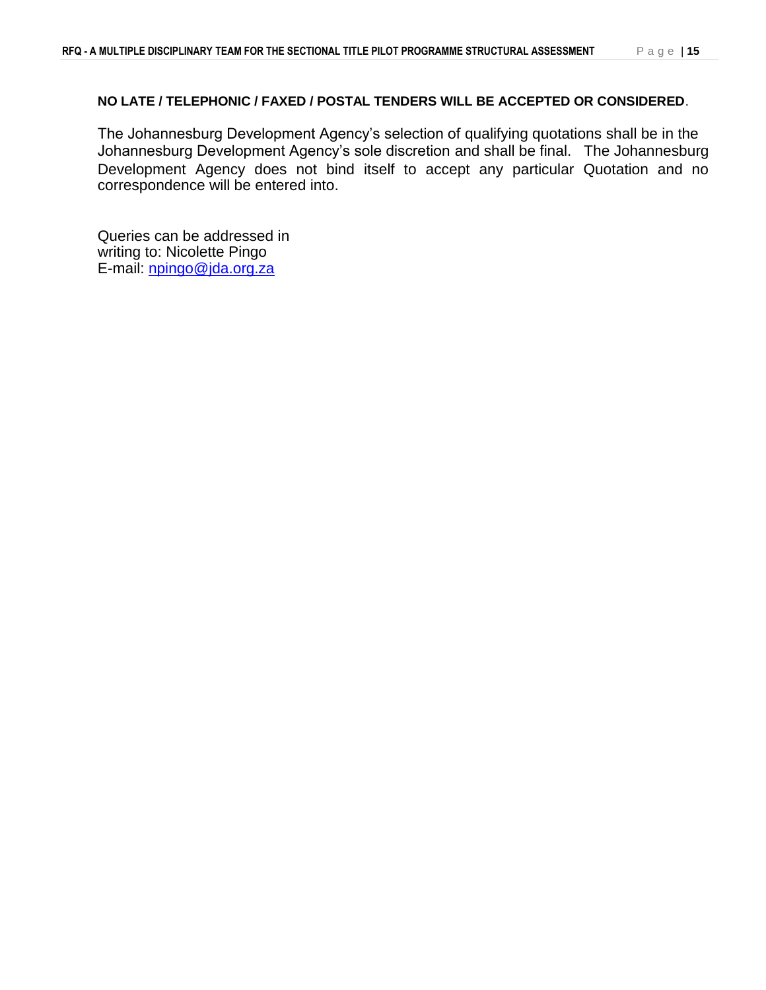#### **NO LATE / TELEPHONIC / FAXED / POSTAL TENDERS WILL BE ACCEPTED OR CONSIDERED**.

The Johannesburg Development Agency's selection of qualifying quotations shall be in the Johannesburg Development Agency's sole discretion and shall be final. The Johannesburg Development Agency does not bind itself to accept any particular Quotation and no correspondence will be entered into.

Queries can be addressed in writing to: Nicolette Pingo E-mail: [npingo@jda.org.za](mailto:npingo@jda.org.za)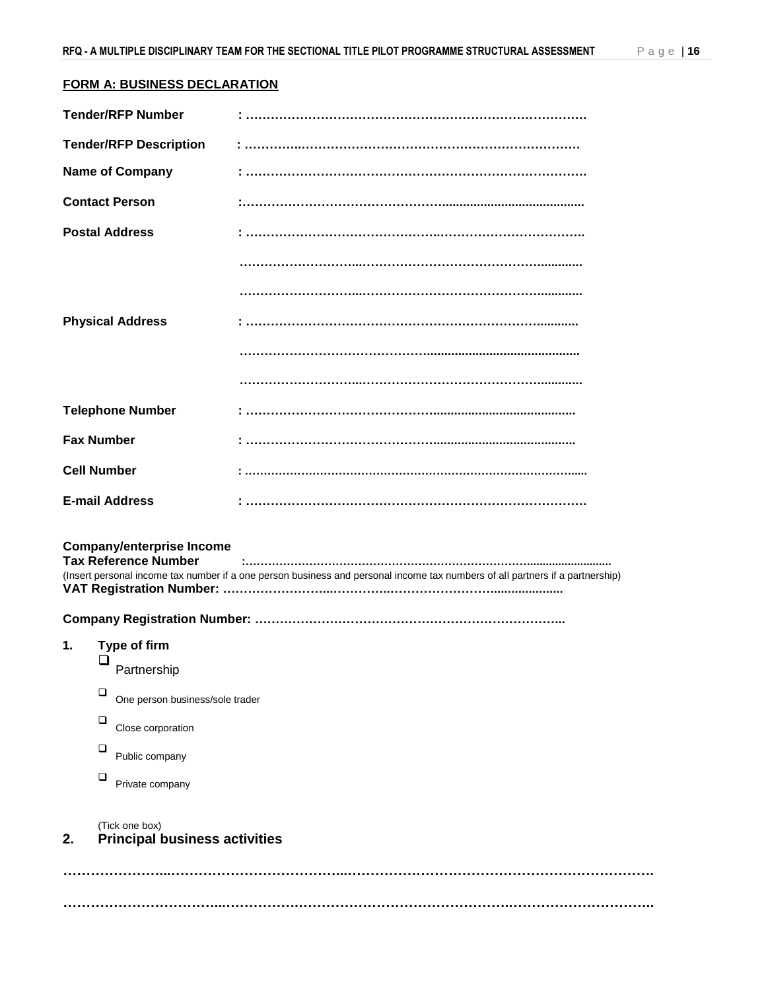#### **FORM A: BUSINESS DECLARATION**

| <b>Tender/RFP Number</b> |                                                                 |                                                                                                                               |
|--------------------------|-----------------------------------------------------------------|-------------------------------------------------------------------------------------------------------------------------------|
|                          | <b>Tender/RFP Description</b>                                   |                                                                                                                               |
| <b>Name of Company</b>   |                                                                 |                                                                                                                               |
| <b>Contact Person</b>    |                                                                 |                                                                                                                               |
| <b>Postal Address</b>    |                                                                 |                                                                                                                               |
|                          |                                                                 |                                                                                                                               |
|                          |                                                                 |                                                                                                                               |
| <b>Physical Address</b>  |                                                                 |                                                                                                                               |
|                          |                                                                 |                                                                                                                               |
|                          |                                                                 |                                                                                                                               |
| <b>Telephone Number</b>  |                                                                 |                                                                                                                               |
| <b>Fax Number</b>        |                                                                 |                                                                                                                               |
| <b>Cell Number</b>       |                                                                 |                                                                                                                               |
| <b>E-mail Address</b>    |                                                                 |                                                                                                                               |
|                          | <b>Company/enterprise Income</b><br><b>Tax Reference Number</b> | (Insert personal income tax number if a one person business and personal income tax numbers of all partners if a partnership) |
|                          |                                                                 |                                                                                                                               |
| 1.<br>❏                  | Type of firm<br>Partnership                                     |                                                                                                                               |
| ❏                        | One person business/sole trader                                 |                                                                                                                               |
| $\Box$                   | Close corporation                                               |                                                                                                                               |
| □                        | Public company                                                  |                                                                                                                               |
| $\Box$                   | Private company                                                 |                                                                                                                               |
| 2.                       | (Tick one box)<br><b>Principal business activities</b>          |                                                                                                                               |
|                          |                                                                 |                                                                                                                               |

**……………………………...…………….……………………………………….…………………………..**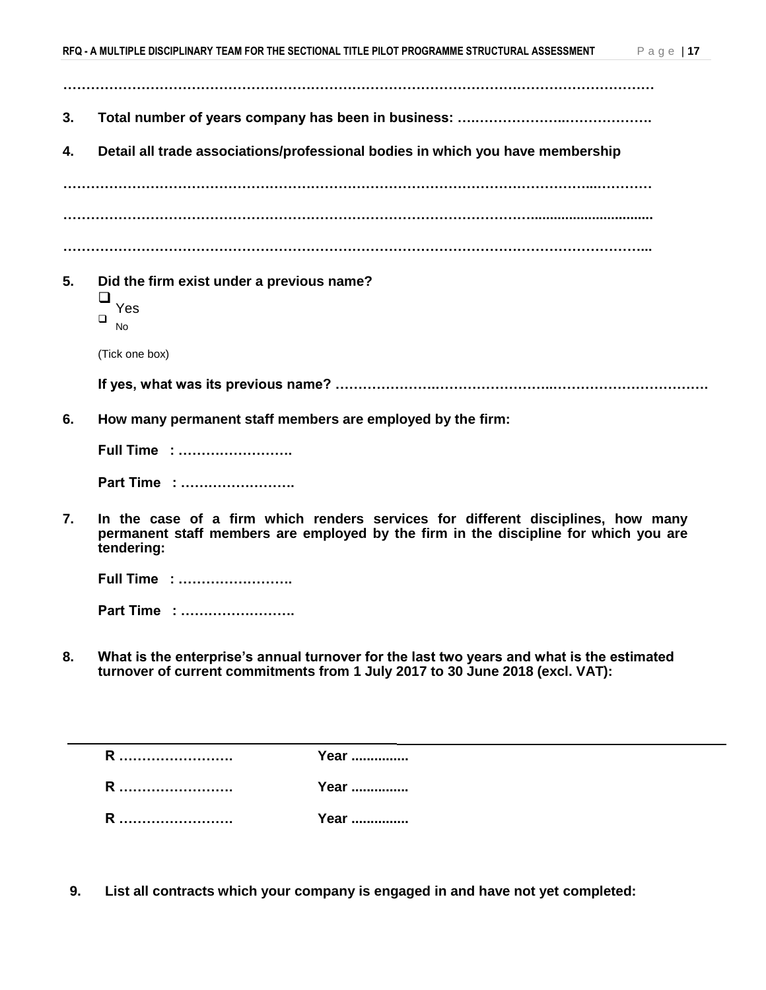- **…………………………………………………………………………………………………………………**
- **3. Total number of years company has been in business: ….………………..……………….**
- **4. Detail all trade associations/professional bodies in which you have membership**

**……………………………………………………………………………………………………...………… …………………………………………………………………………………………................................**

**………………………………………………………………………………………………………………...**

**5. Did the firm exist under a previous name?** 

 $\Box$  Yes

 $\Box$  No

(Tick one box)

**If yes, what was its previous name? ………………….……………………..…………………………….**

**6. How many permanent staff members are employed by the firm:** 

**Full Time : ……………………. Part Time : …………………….**

**7. In the case of a firm which renders services for different disciplines, how many permanent staff members are employed by the firm in the discipline for which you are tendering:** 

|  | <b>Full Time:</b> |  |  |  |  |  |  |  |  |  |  |  |  |  |  |  |  |
|--|-------------------|--|--|--|--|--|--|--|--|--|--|--|--|--|--|--|--|
|--|-------------------|--|--|--|--|--|--|--|--|--|--|--|--|--|--|--|--|

**Part Time : …………………….**

**8. What is the enterprise's annual turnover for the last two years and what is the estimated turnover of current commitments from 1 July 2017 to 30 June 2018 (excl. VAT):** 

| R          | Year   |
|------------|--------|
| .          | .      |
| D          | Year . |
| .          | .      |
| D          | Year   |
| . <b>.</b> |        |

**9. List all contracts which your company is engaged in and have not yet completed:**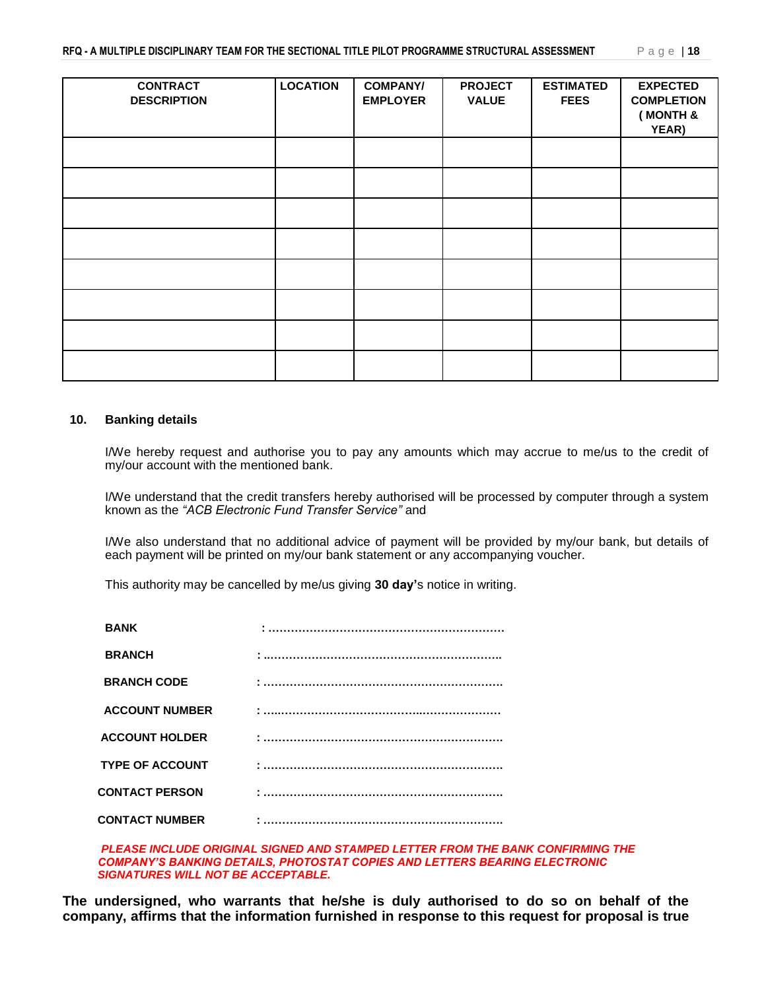| <b>CONTRACT</b><br><b>DESCRIPTION</b> | <b>LOCATION</b> | <b>COMPANY/</b><br><b>EMPLOYER</b> | <b>PROJECT</b><br><b>VALUE</b> | <b>ESTIMATED</b><br><b>FEES</b> | <b>EXPECTED</b><br><b>COMPLETION</b><br>(MONTH &<br>YEAR) |
|---------------------------------------|-----------------|------------------------------------|--------------------------------|---------------------------------|-----------------------------------------------------------|
|                                       |                 |                                    |                                |                                 |                                                           |
|                                       |                 |                                    |                                |                                 |                                                           |
|                                       |                 |                                    |                                |                                 |                                                           |
|                                       |                 |                                    |                                |                                 |                                                           |
|                                       |                 |                                    |                                |                                 |                                                           |
|                                       |                 |                                    |                                |                                 |                                                           |
|                                       |                 |                                    |                                |                                 |                                                           |
|                                       |                 |                                    |                                |                                 |                                                           |

#### **10. Banking details**

I/We hereby request and authorise you to pay any amounts which may accrue to me/us to the credit of my/our account with the mentioned bank.

I/We understand that the credit transfers hereby authorised will be processed by computer through a system known as the *"ACB Electronic Fund Transfer Service"* and

I/We also understand that no additional advice of payment will be provided by my/our bank, but details of each payment will be printed on my/our bank statement or any accompanying voucher.

This authority may be cancelled by me/us giving **30 day'**s notice in writing.

| <b>BANK</b>            |  |
|------------------------|--|
| <b>BRANCH</b>          |  |
| <b>BRANCH CODE</b>     |  |
| <b>ACCOUNT NUMBER</b>  |  |
| <b>ACCOUNT HOLDER</b>  |  |
| <b>TYPE OF ACCOUNT</b> |  |
| <b>CONTACT PERSON</b>  |  |
| <b>CONTACT NUMBER</b>  |  |

*PLEASE INCLUDE ORIGINAL SIGNED AND STAMPED LETTER FROM THE BANK CONFIRMING THE COMPANY'S BANKING DETAILS, PHOTOSTAT COPIES AND LETTERS BEARING ELECTRONIC SIGNATURES WILL NOT BE ACCEPTABLE.*

**The undersigned, who warrants that he/she is duly authorised to do so on behalf of the company, affirms that the information furnished in response to this request for proposal is true**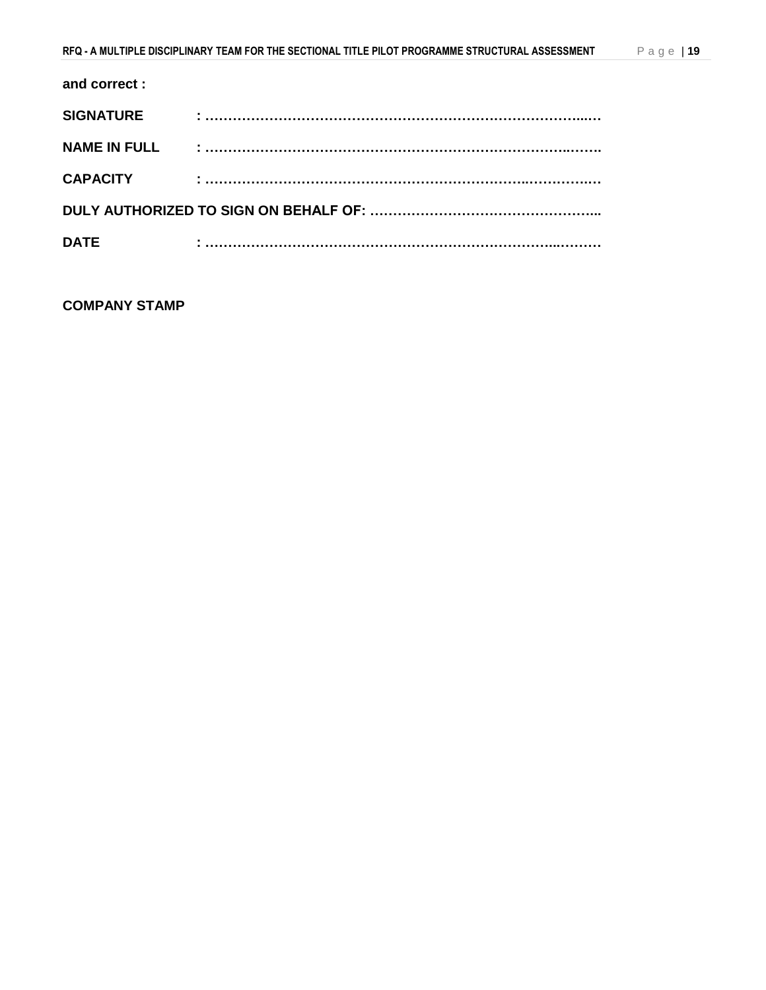#### **and correct :**

| <b>SIGNATURE</b>    |  |
|---------------------|--|
| <b>NAME IN FULL</b> |  |
| <b>CAPACITY</b>     |  |
|                     |  |
| <b>DATE</b>         |  |

### **COMPANY STAMP**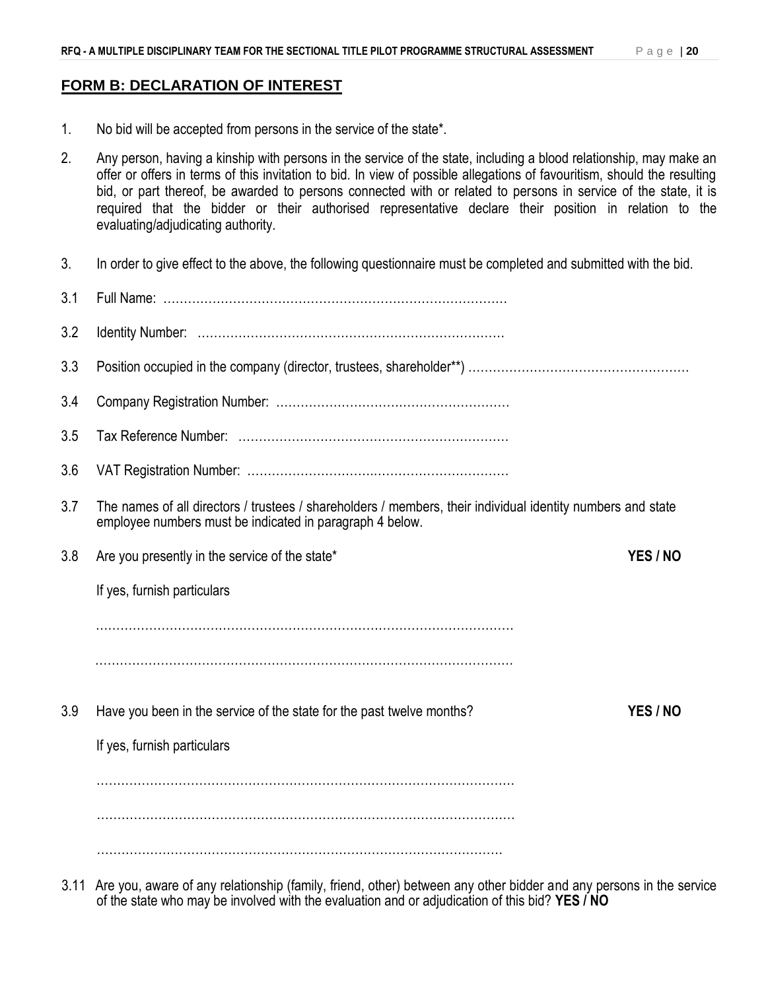### **FORM B: DECLARATION OF INTEREST**

- 1. No bid will be accepted from persons in the service of the state\*.
- 2. Any person, having a kinship with persons in the service of the state, including a blood relationship, may make an offer or offers in terms of this invitation to bid. In view of possible allegations of favouritism, should the resulting bid, or part thereof, be awarded to persons connected with or related to persons in service of the state, it is required that the bidder or their authorised representative declare their position in relation to the evaluating/adjudicating authority.
- 3. In order to give effect to the above, the following questionnaire must be completed and submitted with the bid.
- 3.1 Full Name: ………………………………………………………………………… 3.2 Identity Number: ………………………………………………………………… 3.3 Position occupied in the company (director, trustees, shareholder\*\*) ……………………………………………………………………… 3.4 Company Registration Number: ………………………………………………… 3.5 Tax Reference Number: ………………………………………………………… 3.6 VAT Registration Number: ………………………….…………………………… 3.7 The names of all directors / trustees / shareholders / members, their individual identity numbers and state employee numbers must be indicated in paragraph 4 below. 3.8 Are you presently in the service of the state\* **YES / NO** If yes, furnish particulars ………………………………………………………………………………………… ………………………………………………………………………………………… 3.9 Have you been in the service of the state for the past twelve months? **YES / NO** If yes, furnish particulars ………………………………………………………………………………………… ………………………………………………………………………………………… ………………………………………………………………………………………
- 3.11 Are you, aware of any relationship (family, friend, other) between any other bidder and any persons in the service of the state who may be involved with the evaluation and or adjudication of this bid? **YES / NO**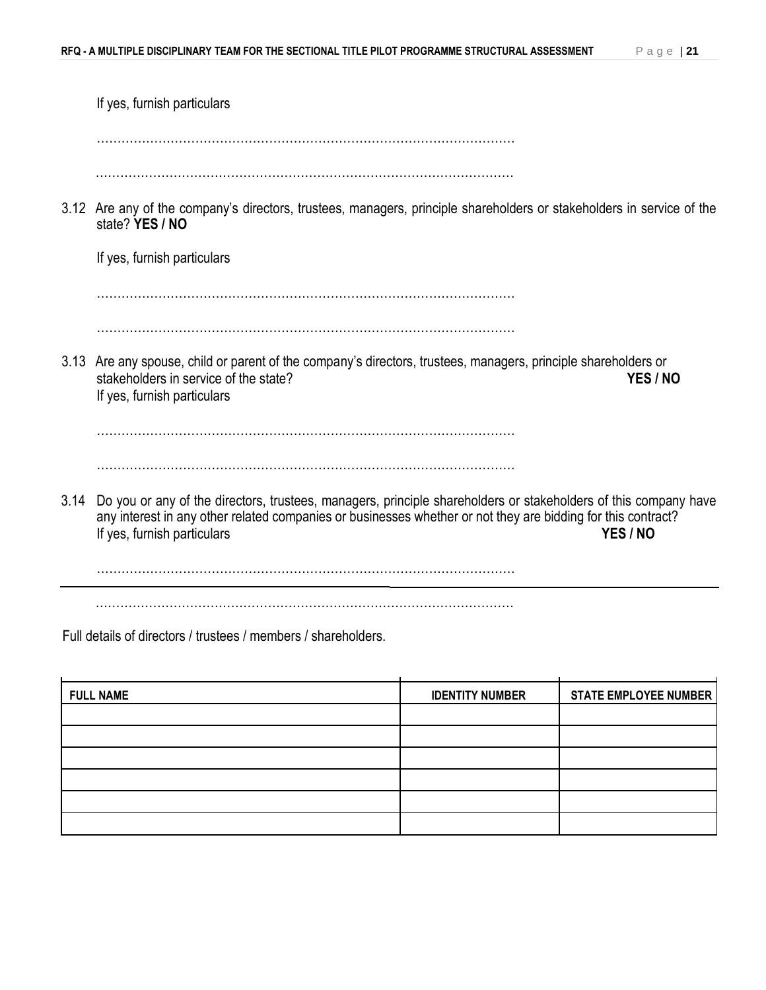|      | If yes, furnish particulars                                                                                                                                                                                                                                                |
|------|----------------------------------------------------------------------------------------------------------------------------------------------------------------------------------------------------------------------------------------------------------------------------|
|      |                                                                                                                                                                                                                                                                            |
|      | 3.12 Are any of the company's directors, trustees, managers, principle shareholders or stakeholders in service of the<br>state? YES / NO                                                                                                                                   |
|      | If yes, furnish particulars                                                                                                                                                                                                                                                |
|      |                                                                                                                                                                                                                                                                            |
|      | 3.13 Are any spouse, child or parent of the company's directors, trustees, managers, principle shareholders or<br>stakeholders in service of the state?<br>YES / NO<br>If yes, furnish particulars                                                                         |
|      |                                                                                                                                                                                                                                                                            |
|      |                                                                                                                                                                                                                                                                            |
| 3.14 | Do you or any of the directors, trustees, managers, principle shareholders or stakeholders of this company have<br>any interest in any other related companies or businesses whether or not they are bidding for this contract?<br>YES / NO<br>If yes, furnish particulars |
|      |                                                                                                                                                                                                                                                                            |
|      |                                                                                                                                                                                                                                                                            |

Full details of directors / trustees / members / shareholders.

| <b>FULL NAME</b> | <b>IDENTITY NUMBER</b> | <b>STATE EMPLOYEE NUMBER</b> |
|------------------|------------------------|------------------------------|
|                  |                        |                              |
|                  |                        |                              |
|                  |                        |                              |
|                  |                        |                              |
|                  |                        |                              |
|                  |                        |                              |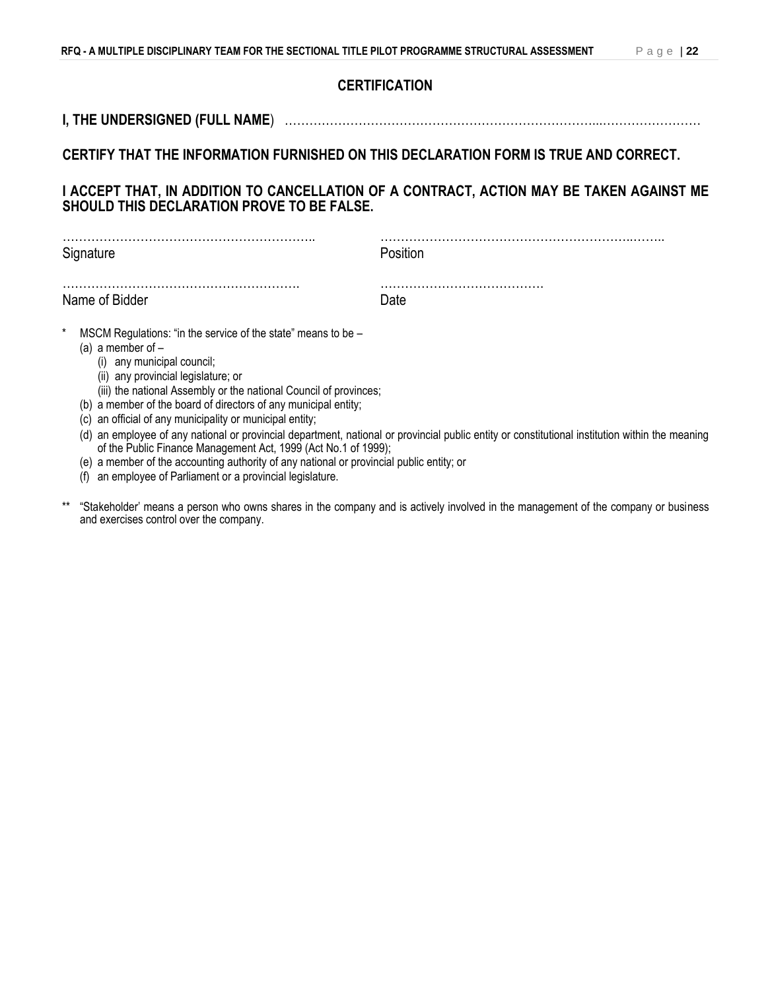#### **CERTIFICATION**

## **I, THE UNDERSIGNED (FULL NAME**) …………………………………………………………………...……………………

## **CERTIFY THAT THE INFORMATION FURNISHED ON THIS DECLARATION FORM IS TRUE AND CORRECT.**

#### **I ACCEPT THAT, IN ADDITION TO CANCELLATION OF A CONTRACT, ACTION MAY BE TAKEN AGAINST ME SHOULD THIS DECLARATION PROVE TO BE FALSE.**

| Signature                                                                                                                                                                                                                                                                                                                                                                      | Position                                                                                                                                        |
|--------------------------------------------------------------------------------------------------------------------------------------------------------------------------------------------------------------------------------------------------------------------------------------------------------------------------------------------------------------------------------|-------------------------------------------------------------------------------------------------------------------------------------------------|
| Name of Bidder                                                                                                                                                                                                                                                                                                                                                                 | Date                                                                                                                                            |
| $^\star$<br>MSCM Regulations: "in the service of the state" means to be –<br>(a) a member of $-$<br>(i) any municipal council;<br>(ii) any provincial legislature; or<br>(iii) the national Assembly or the national Council of provinces;<br>a member of the board of directors of any municipal entity;<br>(b<br>an official of any municipality or municipal entity;<br>(C) | (d) an employee of any national or provincial department, national or provincial public entity or constitutional institution within the meaning |

- of the Public Finance Management Act, 1999 (Act No.1 of 1999);
- (e) a member of the accounting authority of any national or provincial public entity; or
- (f) an employee of Parliament or a provincial legislature.
- \*\* "Stakeholder' means a person who owns shares in the company and is actively involved in the management of the company or business and exercises control over the company.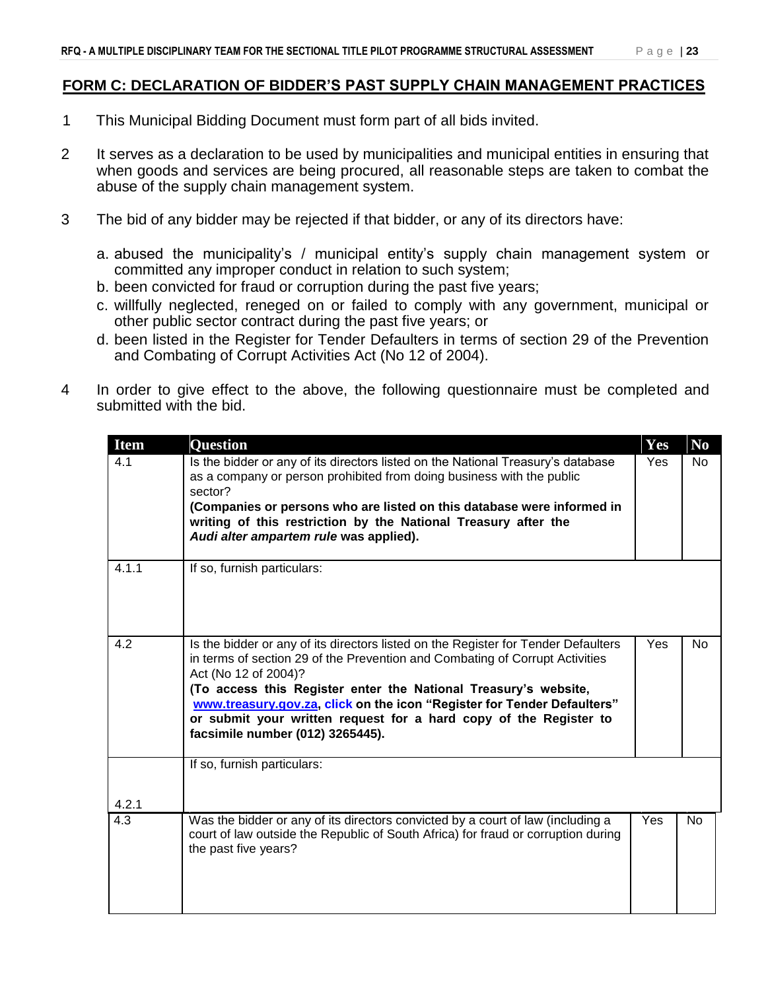- 1 This Municipal Bidding Document must form part of all bids invited.
- 2 It serves as a declaration to be used by municipalities and municipal entities in ensuring that when goods and services are being procured, all reasonable steps are taken to combat the abuse of the supply chain management system.
- 3 The bid of any bidder may be rejected if that bidder, or any of its directors have:
	- a. abused the municipality's / municipal entity's supply chain management system or committed any improper conduct in relation to such system;
	- b. been convicted for fraud or corruption during the past five years;
	- c. willfully neglected, reneged on or failed to comply with any government, municipal or other public sector contract during the past five years; or
	- d. been listed in the Register for Tender Defaulters in terms of section 29 of the Prevention and Combating of Corrupt Activities Act (No 12 of 2004).
- 4 In order to give effect to the above, the following questionnaire must be completed and submitted with the bid.

| <b>Item</b> | <b>Question</b>                                                                                                                                                                                                                                                                                                                                                                                                                                   | Yes | N <sub>0</sub> |
|-------------|---------------------------------------------------------------------------------------------------------------------------------------------------------------------------------------------------------------------------------------------------------------------------------------------------------------------------------------------------------------------------------------------------------------------------------------------------|-----|----------------|
| 4.1         | Is the bidder or any of its directors listed on the National Treasury's database<br>as a company or person prohibited from doing business with the public<br>sector?<br>(Companies or persons who are listed on this database were informed in<br>writing of this restriction by the National Treasury after the<br>Audi alter ampartem rule was applied).                                                                                        | Yes | N <sub>o</sub> |
| 4.1.1       | If so, furnish particulars:                                                                                                                                                                                                                                                                                                                                                                                                                       |     |                |
| 4.2         | Is the bidder or any of its directors listed on the Register for Tender Defaulters<br>in terms of section 29 of the Prevention and Combating of Corrupt Activities<br>Act (No 12 of 2004)?<br>(To access this Register enter the National Treasury's website,<br>www.treasury.gov.za, click on the icon "Register for Tender Defaulters"<br>or submit your written request for a hard copy of the Register to<br>facsimile number (012) 3265445). | Yes | N <sub>o</sub> |
| 4.2.1       | If so, furnish particulars:                                                                                                                                                                                                                                                                                                                                                                                                                       |     |                |
| 4.3         | Was the bidder or any of its directors convicted by a court of law (including a<br>court of law outside the Republic of South Africa) for fraud or corruption during<br>the past five years?                                                                                                                                                                                                                                                      | Yes | No             |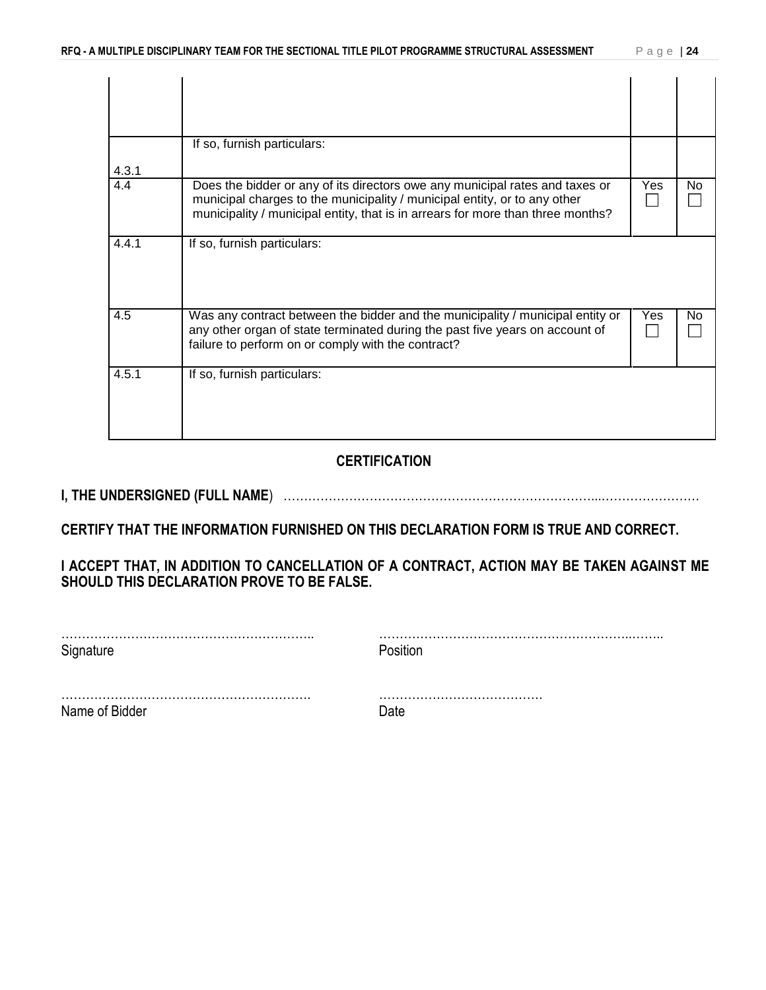| 4.3.1 | If so, furnish particulars:                                                                                                                                                                                                                  |     |    |
|-------|----------------------------------------------------------------------------------------------------------------------------------------------------------------------------------------------------------------------------------------------|-----|----|
| 4.4   | Does the bidder or any of its directors owe any municipal rates and taxes or<br>municipal charges to the municipality / municipal entity, or to any other<br>municipality / municipal entity, that is in arrears for more than three months? | Yes | No |
| 4.4.1 | If so, furnish particulars:                                                                                                                                                                                                                  |     |    |
| 4.5   | Was any contract between the bidder and the municipality / municipal entity or<br>any other organ of state terminated during the past five years on account of<br>failure to perform on or comply with the contract?                         | Yes | No |
| 4.5.1 | If so, furnish particulars:                                                                                                                                                                                                                  |     |    |

### **CERTIFICATION**

**I, THE UNDERSIGNED (FULL NAME**) …………………………………………………………………...……………………

**CERTIFY THAT THE INFORMATION FURNISHED ON THIS DECLARATION FORM IS TRUE AND CORRECT.**

**I ACCEPT THAT, IN ADDITION TO CANCELLATION OF A CONTRACT, ACTION MAY BE TAKEN AGAINST ME SHOULD THIS DECLARATION PROVE TO BE FALSE.**

| Signature      | Position |
|----------------|----------|
|                |          |
| Name of Bidder |          |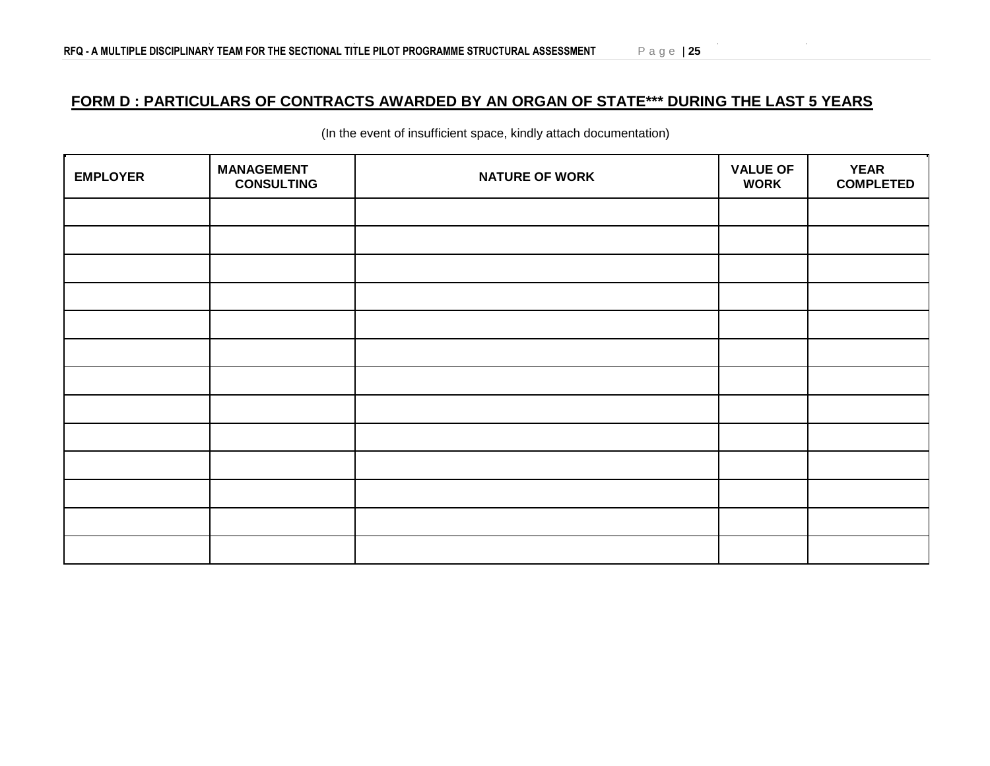## **FORM D : PARTICULARS OF CONTRACTS AWARDED BY AN ORGAN OF STATE\*\*\* DURING THE LAST 5 YEARS**

| <b>EMPLOYER</b> | <b>MANAGEMENT</b><br><b>CONSULTING</b> | <b>NATURE OF WORK</b> | <b>VALUE OF</b><br><b>WORK</b> | <b>YEAR</b><br><b>COMPLETED</b> |
|-----------------|----------------------------------------|-----------------------|--------------------------------|---------------------------------|
|                 |                                        |                       |                                |                                 |
|                 |                                        |                       |                                |                                 |
|                 |                                        |                       |                                |                                 |
|                 |                                        |                       |                                |                                 |
|                 |                                        |                       |                                |                                 |
|                 |                                        |                       |                                |                                 |
|                 |                                        |                       |                                |                                 |
|                 |                                        |                       |                                |                                 |
|                 |                                        |                       |                                |                                 |
|                 |                                        |                       |                                |                                 |
|                 |                                        |                       |                                |                                 |
|                 |                                        |                       |                                |                                 |
|                 |                                        |                       |                                |                                 |

(In the event of insufficient space, kindly attach documentation)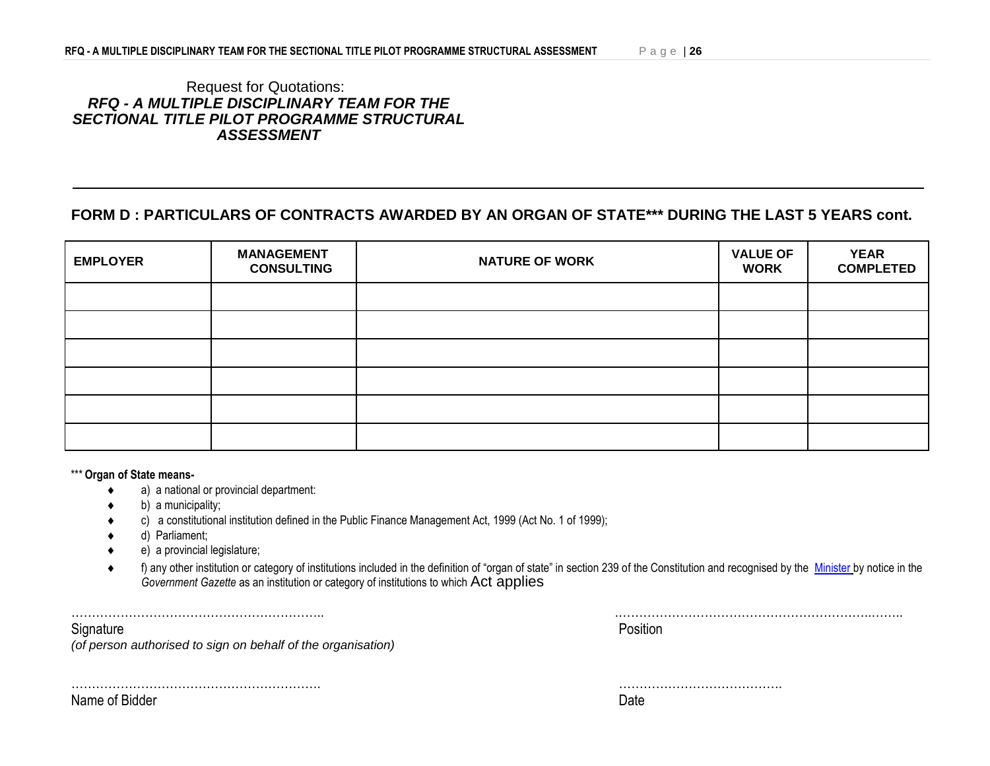#### Request for Quotations: *RFQ - A MULTIPLE DISCIPLINARY TEAM FOR THE SECTIONAL TITLE PILOT PROGRAMME STRUCTURAL ASSESSMENT*

## **FORM D : PARTICULARS OF CONTRACTS AWARDED BY AN ORGAN OF STATE\*\*\* DURING THE LAST 5 YEARS cont.**

| <b>EMPLOYER</b> | <b>MANAGEMENT</b><br><b>CONSULTING</b> | <b>NATURE OF WORK</b> | <b>VALUE OF</b><br><b>WORK</b> | <b>YEAR</b><br><b>COMPLETED</b> |
|-----------------|----------------------------------------|-----------------------|--------------------------------|---------------------------------|
|                 |                                        |                       |                                |                                 |
|                 |                                        |                       |                                |                                 |
|                 |                                        |                       |                                |                                 |
|                 |                                        |                       |                                |                                 |
|                 |                                        |                       |                                |                                 |
|                 |                                        |                       |                                |                                 |

\*\*\* **Organ of State means-**

- a) a national or provincial department:
- b) a municipality;
- c) a constitutional institution defined in the Public Finance Management Act, 1999 (Act No. 1 of 1999);
- d) Parliament;
- e) a provincial legislature;
- f) any other institution or category of institutions included in the definition of "organ of state" in section 239 of the Constitution and recognised by the [Minister](javascript:void(0);) by notice in the *Government Gazette* as an institution or category of institutions to which Act applies

…………………………………………………….. .……………………………………………………..…….. Signature **Position** 

*(of person authorised to sign on behalf of the organisation)*

Name of Bidder Date Date Control of Bidder Date Date Date Date Date Date Date

……………………………………………………. ………………………………….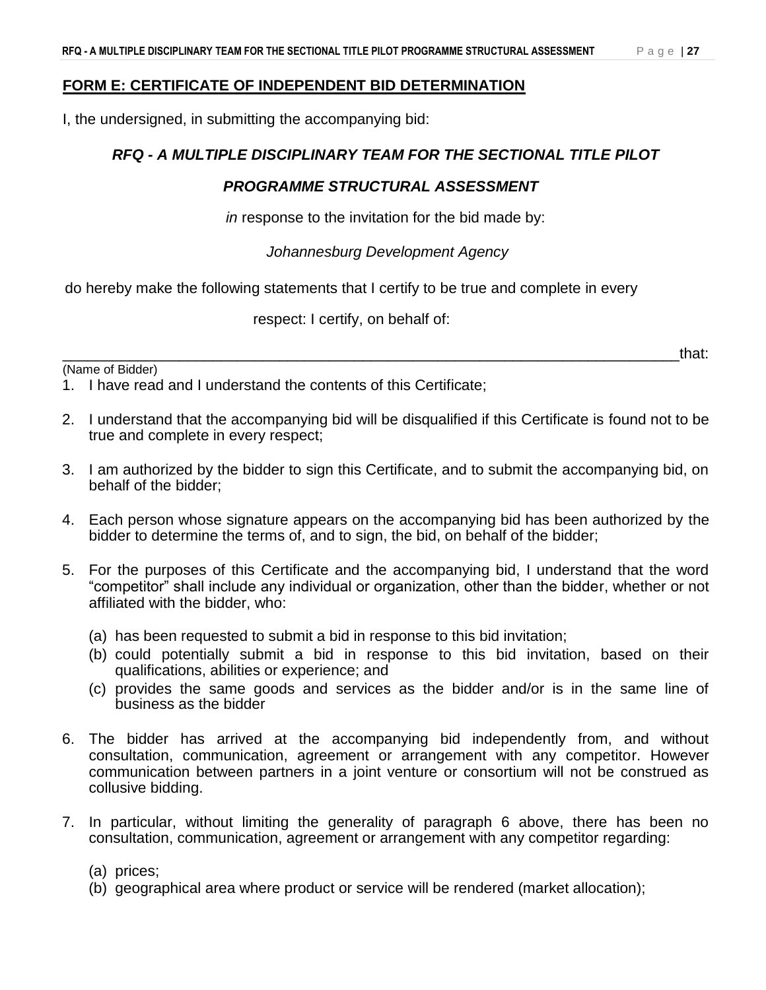I, the undersigned, in submitting the accompanying bid:

### *RFQ - A MULTIPLE DISCIPLINARY TEAM FOR THE SECTIONAL TITLE PILOT*

### *PROGRAMME STRUCTURAL ASSESSMENT*

*in* response to the invitation for the bid made by:

*Johannesburg Development Agency*

do hereby make the following statements that I certify to be true and complete in every

respect: I certify, on behalf of:

(Name of Bidder)

\_\_\_\_\_\_\_\_\_\_\_\_\_\_\_\_\_\_\_\_\_\_\_\_\_\_\_\_\_\_\_\_\_\_\_\_\_\_\_\_\_\_\_\_\_\_\_\_\_\_\_\_\_\_\_\_\_\_\_\_\_\_\_\_\_\_\_\_\_\_\_\_\_\_that:

1. I have read and I understand the contents of this Certificate;

- 2. I understand that the accompanying bid will be disqualified if this Certificate is found not to be true and complete in every respect;
- 3. I am authorized by the bidder to sign this Certificate, and to submit the accompanying bid, on behalf of the bidder;
- 4. Each person whose signature appears on the accompanying bid has been authorized by the bidder to determine the terms of, and to sign, the bid, on behalf of the bidder;
- 5. For the purposes of this Certificate and the accompanying bid, I understand that the word "competitor" shall include any individual or organization, other than the bidder, whether or not affiliated with the bidder, who:
	- (a) has been requested to submit a bid in response to this bid invitation;
	- (b) could potentially submit a bid in response to this bid invitation, based on their qualifications, abilities or experience; and
	- (c) provides the same goods and services as the bidder and/or is in the same line of business as the bidder
- 6. The bidder has arrived at the accompanying bid independently from, and without consultation, communication, agreement or arrangement with any competitor. However communication between partners in a joint venture or consortium will not be construed as collusive bidding.
- 7. In particular, without limiting the generality of paragraph 6 above, there has been no consultation, communication, agreement or arrangement with any competitor regarding:

(a) prices;

(b) geographical area where product or service will be rendered (market allocation);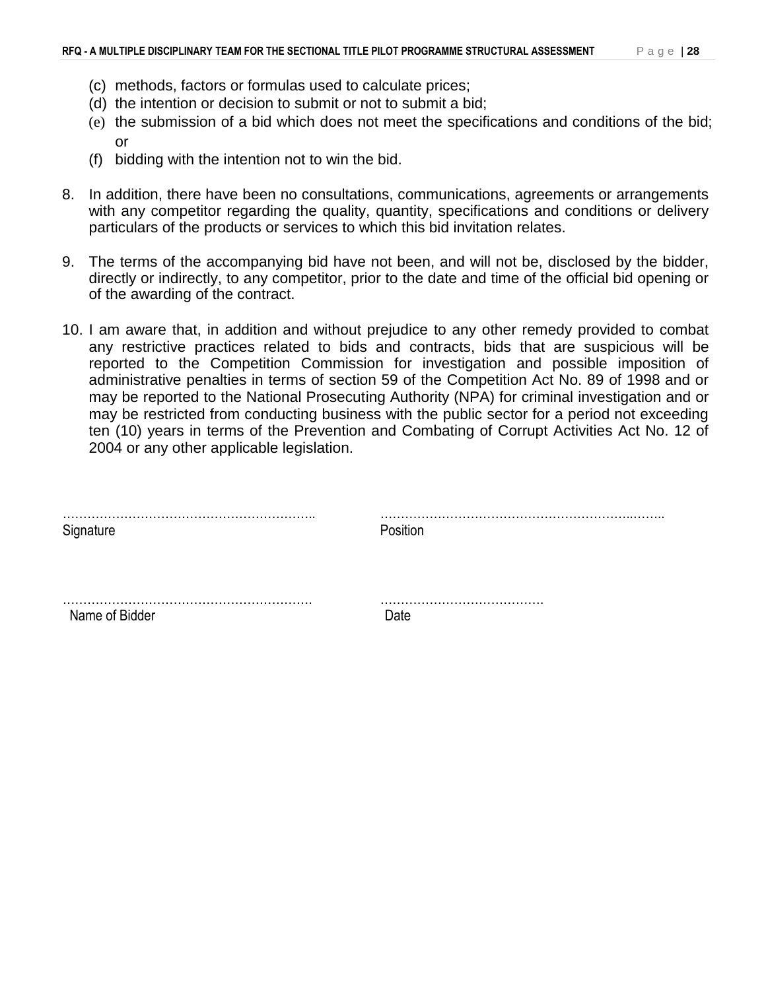- (c) methods, factors or formulas used to calculate prices;
- (d) the intention or decision to submit or not to submit a bid;
- (e) the submission of a bid which does not meet the specifications and conditions of the bid; or
- (f) bidding with the intention not to win the bid.
- 8. In addition, there have been no consultations, communications, agreements or arrangements with any competitor regarding the quality, quantity, specifications and conditions or delivery particulars of the products or services to which this bid invitation relates.
- 9. The terms of the accompanying bid have not been, and will not be, disclosed by the bidder, directly or indirectly, to any competitor, prior to the date and time of the official bid opening or of the awarding of the contract.
- 10. I am aware that, in addition and without prejudice to any other remedy provided to combat any restrictive practices related to bids and contracts, bids that are suspicious will be reported to the Competition Commission for investigation and possible imposition of administrative penalties in terms of section 59 of the Competition Act No. 89 of 1998 and or may be reported to the National Prosecuting Authority (NPA) for criminal investigation and or may be restricted from conducting business with the public sector for a period not exceeding ten (10) years in terms of the Prevention and Combating of Corrupt Activities Act No. 12 of 2004 or any other applicable legislation.

| Signature      | Position |  |
|----------------|----------|--|
|                |          |  |
|                |          |  |
| Name of Bidder | ∟מר      |  |